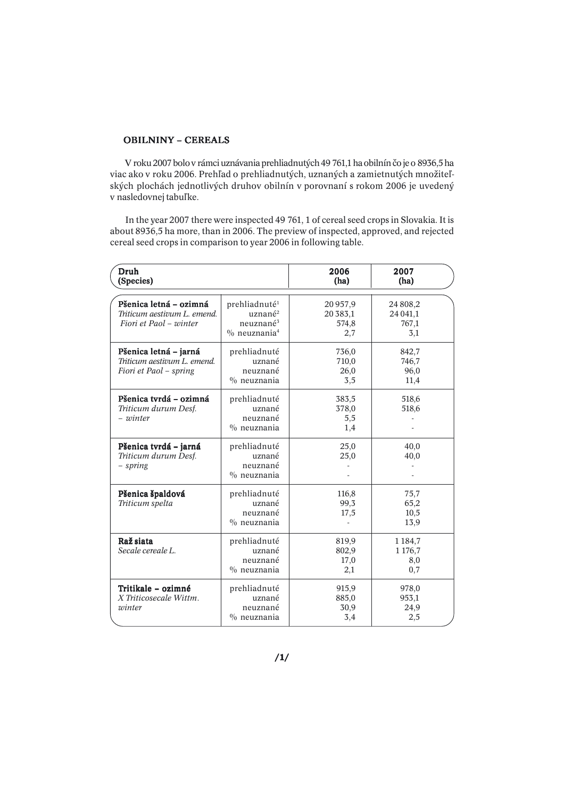#### OBILNINY – CEREALS

 V roku 2007 bolo v rámci uznávania prehliadnutých 49 761,1 ha obilnín čo je o 8936,5 ha viac ako v roku 2006. Prehľad o prehliadnutých, uznaných a zamietnutých množiteľských plochách jednotlivých druhov obilnín v porovnaní s rokom 2006 je uvedený v nasledovnej tabuľke.

 In the year 2007 there were inspected 49 761, 1 of cereal seed crops in Slovakia. It is about 8936,5 ha more, than in 2006. The preview of inspected, approved, and rejected cereal seed crops in comparison to year 2006 in following table.

| Druh<br>(Species)                                                               |                                                                                                          | 2006<br>(ha)                            | 2007<br>(ha)                             |
|---------------------------------------------------------------------------------|----------------------------------------------------------------------------------------------------------|-----------------------------------------|------------------------------------------|
| Pšenica letná – ozimná<br>Triticum aestivum L. emend.<br>Fiori et Paol - winter | prehliadnuté <sup>1</sup><br>uznané <sup>2</sup><br>neuznané <sup>3</sup><br>$\%$ neuznania <sup>4</sup> | 20957,9<br>20 3 8 3 , 1<br>574,8<br>2,7 | 24 808,2<br>24 041,1<br>767,1<br>3,1     |
| Pšenica letná – jarná<br>Triticum aestivum L. emend.<br>Fiori et Paol - spring  | prehliadnuté<br>uznané<br>neuznané<br>$\%$ neuznania                                                     | 736,0<br>710,0<br>26,0<br>3,5           | 842,7<br>746,7<br>96,0<br>11,4           |
| Pšenica tvrdá – ozimná<br>Triticum durum Desf.<br>- winter                      | prehliadnuté<br>uznané<br>neuznané<br>$\%$ neuznania                                                     | 383,5<br>378,0<br>5,5<br>1,4            | 518,6<br>518,6                           |
| Pšenica tvrdá – jarná<br>Triticum durum Desf.<br>- spring                       | prehliadnuté<br>uznané<br>neuznané<br>$\%$ neuznania                                                     | 25,0<br>25,0                            | 40,0<br>40,0                             |
| Pšenica špaldová<br>Triticum spelta                                             | prehliadnuté<br>uznané<br>neuznané<br>$\%$ neuznania                                                     | 116,8<br>99,3<br>17,5                   | 75,7<br>65,2<br>10,5<br>13,9             |
| Raž siata<br>Secale cereale L.                                                  | prehliadnuté<br>uznané<br>neuznané<br>$\%$ neuznania                                                     | 819,9<br>802,9<br>17,0<br>2,1           | 1 1 8 4 , 7<br>1 1 7 6 , 7<br>8,0<br>0,7 |
| Tritikale – ozimné<br>X Triticosecale Wittm.<br>winter                          | prehliadnuté<br>uznané<br>neuznané<br>$\%$ neuznania                                                     | 915,9<br>885,0<br>30,9<br>3,4           | 978,0<br>953,1<br>24,9<br>2,5            |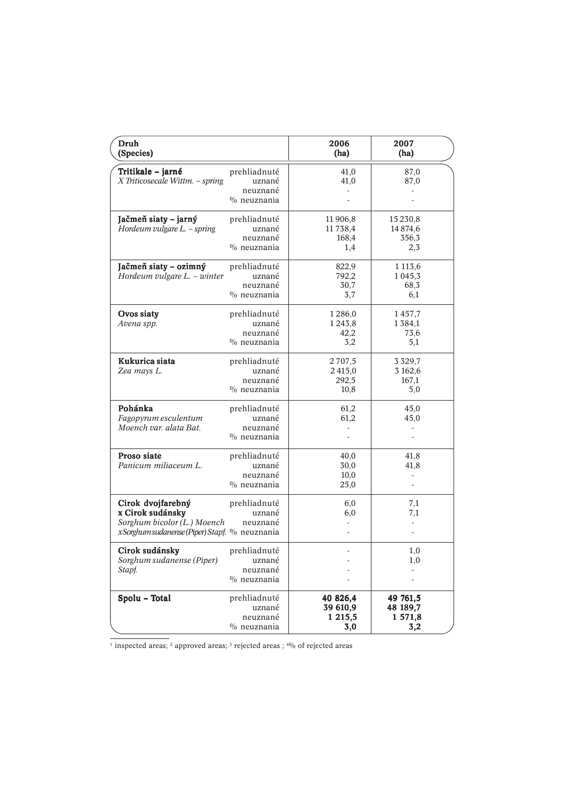| Druh<br>(Species)                                                                                                     |                                                      | 2006<br>(ha)                               | 2007<br>(ha)                              |
|-----------------------------------------------------------------------------------------------------------------------|------------------------------------------------------|--------------------------------------------|-------------------------------------------|
| Tritikale - jarné<br>X Triticosecale Wittm. - spring                                                                  | prehliadnuté<br>uznané<br>neuznané<br>$\%$ neuznania | 41,0<br>41,0<br>÷,                         | 87,0<br>87,0                              |
| Jačmeň siaty – jarný<br>Hordeum vulgare L. - spring                                                                   | prehliadnuté<br>uznané<br>neuznané<br>$\%$ neuznania | 11 906,8<br>11738,4<br>168,4<br>1,4        | 15 230,8<br>14 874,6<br>356,3<br>2,3      |
| Jačmeň siaty – ozimný<br>Hordeum vulgare L. - winter                                                                  | prehliadnuté<br>uznané<br>neuznané<br>$\%$ neuznania | 822,9<br>792,2<br>30,7<br>3,7              | 1 1 1 3 , 6<br>1 0 4 5 , 3<br>68,3<br>6,1 |
| Ovos siaty<br>Avena spp.                                                                                              | prehliadnuté<br>uznané<br>neuznané<br>$\%$ neuznania | 1286,0<br>1 2 4 3 , 8<br>42,2<br>3,2       | 1457,7<br>1384,1<br>73,6<br>5,1           |
| Kukurica siata<br>Zea mays L.                                                                                         | prehliadnuté<br>uznané<br>neuznané<br>$\%$ neuznania | 2707,5<br>2415,0<br>292,5<br>10,8          | 3 3 2 9 , 7<br>3 162,6<br>167,1<br>5,0    |
| Pohánka<br>Fagopyrum esculentum<br>Moench var. alata Bat.                                                             | prehliadnuté<br>uznané<br>neuznané<br>$\%$ neuznania | 61,2<br>61,2                               | 45,0<br>45,0                              |
| Proso siate<br>Panicum miliaceum L.                                                                                   | prehliadnuté<br>uznané<br>neuznané<br>$%$ neuznania  | 40,0<br>30,0<br>10,0<br>25,0               | 41,8<br>41,8<br>÷,<br>٠                   |
| Cirok dvojfarebný<br>x Cirok sudánsky<br>Sorghum bicolor (L.) Moench<br>xSorghum sudanense (Piper) Stapf. % neuznania | prehliadnuté<br>uznané<br>neuznané                   | 6,0<br>6,0                                 | 7,1<br>$_{7,1}$                           |
| Cirok sudánsky<br>Sorghum sudanense (Piper)<br>Stapf.                                                                 | prehliadnuté<br>uznané<br>neuznané<br>$\%$ neuznania | ä,<br>$\overline{a}$                       | 1,0<br>$_{1,0}$                           |
| Spolu - Total                                                                                                         | prehliadnuté<br>uznané<br>neuznané<br>$\%$ neuznania | 40 826,4<br>39 610,9<br>1 2 1 5 , 5<br>3,0 | 49 761,5<br>48 189,7<br>1 571,8<br>3,2    |

<sup>1</sup> inspected areas; <sup>2</sup> approved areas; <sup>3</sup> rejected areas ;  $\frac{40}{6}$  of rejected areas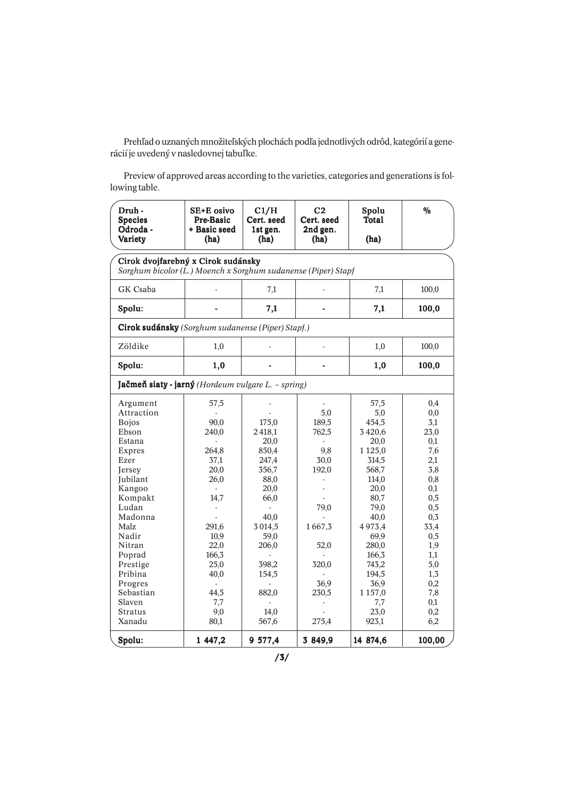Prehľad o uznaných množiteľských plochách podľa jednotlivých odrôd, kategórií a generácií je uvedený v nasledovnej tabuľke.

Preview of approved areas according to the varieties, categories and generations is following table.

| Druh -<br><b>Species</b><br>Odroda -<br>Variety                                                                                                                                                                                                                      | SE+E osivo<br>Pre-Basic<br>+ Basic seed<br>(ha)                                                                                                                                                                                    | C1/H<br>Cert. seed<br>1st gen.<br>(ha)                                                                                                                           | C <sub>2</sub><br>Cert. seed<br>2nd gen.<br>(ha)                                                                | Spolu<br><b>Total</b><br>(ha)                                                                                                                                                                                     | $\frac{0}{0}$                                                                                                                                                          |
|----------------------------------------------------------------------------------------------------------------------------------------------------------------------------------------------------------------------------------------------------------------------|------------------------------------------------------------------------------------------------------------------------------------------------------------------------------------------------------------------------------------|------------------------------------------------------------------------------------------------------------------------------------------------------------------|-----------------------------------------------------------------------------------------------------------------|-------------------------------------------------------------------------------------------------------------------------------------------------------------------------------------------------------------------|------------------------------------------------------------------------------------------------------------------------------------------------------------------------|
| Cirok dvojfarebný x Cirok sudánsky<br>Sorghum bicolor (L.) Moench x Sorghum sudanense (Piper) Stapf                                                                                                                                                                  |                                                                                                                                                                                                                                    |                                                                                                                                                                  |                                                                                                                 |                                                                                                                                                                                                                   |                                                                                                                                                                        |
| GK Csaba                                                                                                                                                                                                                                                             |                                                                                                                                                                                                                                    | 7,1                                                                                                                                                              |                                                                                                                 | 7,1                                                                                                                                                                                                               | 100,0                                                                                                                                                                  |
| Spolu:                                                                                                                                                                                                                                                               |                                                                                                                                                                                                                                    | 7,1                                                                                                                                                              |                                                                                                                 | 7,1                                                                                                                                                                                                               | 100,0                                                                                                                                                                  |
| Cirok sudánsky (Sorghum sudanense (Piper) Stapf.)                                                                                                                                                                                                                    |                                                                                                                                                                                                                                    |                                                                                                                                                                  |                                                                                                                 |                                                                                                                                                                                                                   |                                                                                                                                                                        |
| Zöldike                                                                                                                                                                                                                                                              | 1,0                                                                                                                                                                                                                                |                                                                                                                                                                  | ä,                                                                                                              | 1,0                                                                                                                                                                                                               | 100,0                                                                                                                                                                  |
| Spolu:                                                                                                                                                                                                                                                               | 1,0                                                                                                                                                                                                                                |                                                                                                                                                                  | $\overline{a}$                                                                                                  | 1,0                                                                                                                                                                                                               | 100,0                                                                                                                                                                  |
| Jačmeň siaty - jarný (Hordeum vulgare L. – spring)                                                                                                                                                                                                                   |                                                                                                                                                                                                                                    |                                                                                                                                                                  |                                                                                                                 |                                                                                                                                                                                                                   |                                                                                                                                                                        |
| Argument<br>Attraction<br><b>Bojos</b><br>Ebson<br>Estana<br>Expres<br>Ezer<br><b>Jersey</b><br>Jubilant<br>Kangoo<br>Kompakt<br>Ludan<br>Madonna<br>Malz<br>Nadir<br>Nitran<br>Poprad<br>Prestige<br>Pribina<br>Progres<br>Sebastian<br>Slaven<br>Stratus<br>Xanadu | 57,5<br>90,0<br>240,0<br>264,8<br>37,1<br>20,0<br>26,0<br>$\overline{\phantom{a}}$<br>14,7<br>$\overline{\phantom{a}}$<br>291,6<br>10,9<br>22,0<br>166,3<br>25,0<br>40,0<br>$\overline{\phantom{a}}$<br>44,5<br>7,7<br>9,0<br>80,1 | 175,0<br>2418,1<br>20,0<br>850,4<br>247,4<br>356,7<br>88,0<br>20,0<br>66,0<br>40,0<br>3 0 14,5<br>59,0<br>206,0<br>398,2<br>154,5<br>٠<br>882,0<br>14,0<br>567,6 | ÷<br>5,0<br>189,5<br>762,5<br>9,8<br>30,0<br>192,0<br>79,0<br>1667,3<br>52,0<br>320,0<br>36,9<br>230,5<br>275,4 | 57,5<br>5,0<br>454,5<br>3420,6<br>20,0<br>1 1 2 5,0<br>314,5<br>568,7<br>114,0<br>20,0<br>80,7<br>79,0<br>40,0<br>4973,4<br>69,9<br>280,0<br>166,3<br>743,2<br>194,5<br>36,9<br>1 1 5 7,0<br>7,7<br>23,0<br>923,1 | 0,4<br>0,0<br>3,1<br>23,0<br>0,1<br>7,6<br>2,1<br>3,8<br>0,8<br>0,1<br>0,5<br>0,5<br>0,3<br>33,4<br>0,5<br>1,9<br>1,1<br>5,0<br>1,3<br>0,2<br>7,8<br>0,1<br>0,2<br>6,2 |
| Spolu:                                                                                                                                                                                                                                                               | 1 447,2                                                                                                                                                                                                                            | 9 577,4                                                                                                                                                          | 3 849,9                                                                                                         | 14 874,6                                                                                                                                                                                                          | 100,00                                                                                                                                                                 |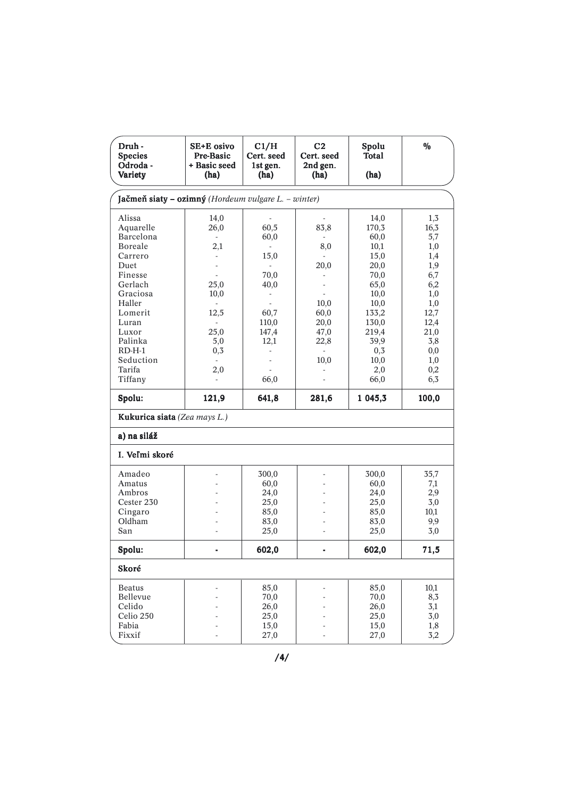| Druh -<br><b>Species</b><br>Odroda -<br>Variety                                                                                                                | SE+E osivo<br><b>Pre-Basic</b><br>+ Basic seed<br>(ha)                                                             | C1/H<br>Cert. seed<br>1st gen.<br>(ha)                                                                       | C <sub>2</sub><br>Cert. seed<br>2nd gen.<br>(ha)                      | Spolu<br>Total<br>(ha)                                                                                           | $\frac{0}{0}$                                                                                      |
|----------------------------------------------------------------------------------------------------------------------------------------------------------------|--------------------------------------------------------------------------------------------------------------------|--------------------------------------------------------------------------------------------------------------|-----------------------------------------------------------------------|------------------------------------------------------------------------------------------------------------------|----------------------------------------------------------------------------------------------------|
| Jačmeň siaty – ozimný (Hordeum vulgare L. – winter)                                                                                                            |                                                                                                                    |                                                                                                              |                                                                       |                                                                                                                  |                                                                                                    |
| Alissa<br>Aquarelle<br>Barcelona<br>Boreale<br>Carrero<br>Duet<br>Finesse<br>Gerlach<br>Graciosa<br>Haller<br>Lomerit<br>Luran<br>Luxor<br>Palinka<br>$RD-H-1$ | 14,0<br>26,0<br>$\sim$<br>2,1<br>L.<br>L,<br>$\overline{a}$<br>25,0<br>10,0<br>12,5<br>$\mathbf{r}$<br>25,0<br>5,0 | 60,5<br>60,0<br>15,0<br>$\sim$<br>70,0<br>40,0<br>$\overline{\phantom{a}}$<br>60,7<br>110,0<br>147,4<br>12,1 | 83,8<br>8,0<br>20,0<br>10,0<br>60,0<br>20,0<br>47,0<br>22,8<br>$\sim$ | 14,0<br>170,3<br>60,0<br>10,1<br>15,0<br>20,0<br>70,0<br>65,0<br>10,0<br>10,0<br>133,2<br>130,0<br>219,4<br>39,9 | 1,3<br>16,3<br>5,7<br>1,0<br>1,4<br>1,9<br>6,7<br>6,2<br>1,0<br>1,0<br>12,7<br>12,4<br>21,0<br>3,8 |
| Seduction<br>Tarifa<br>Tiffany<br>Spolu:                                                                                                                       | 0,3<br>2,0<br>÷.<br>121,9                                                                                          | 66,0<br>641,8                                                                                                | 10,0<br>281,6                                                         | 0,3<br>10,0<br>2,0<br>66,0<br>1 045,3                                                                            | $_{0,0}$<br>1,0<br>0,2<br>6,3<br>100,0                                                             |
| Kukurica siata (Zea mays L.)                                                                                                                                   |                                                                                                                    |                                                                                                              |                                                                       |                                                                                                                  |                                                                                                    |
| a) na siláž                                                                                                                                                    |                                                                                                                    |                                                                                                              |                                                                       |                                                                                                                  |                                                                                                    |
| I. Veľmi skoré                                                                                                                                                 |                                                                                                                    |                                                                                                              |                                                                       |                                                                                                                  |                                                                                                    |
| Amadeo<br>Amatus<br>Ambros<br>Cester 230<br>Cingaro<br>Oldham<br>San                                                                                           | L.                                                                                                                 | 300,0<br>60,0<br>24,0<br>25,0<br>85,0<br>83,0<br>25,0                                                        |                                                                       | 300,0<br>60,0<br>24,0<br>25,0<br>85,0<br>83,0<br>25,0                                                            | 35,7<br>7,1<br>2,9<br>3,0<br>10,1<br>9,9<br>3,0                                                    |
| Spolu:                                                                                                                                                         |                                                                                                                    | 602,0                                                                                                        |                                                                       | 602,0                                                                                                            | 71,5                                                                                               |
| Skoré                                                                                                                                                          |                                                                                                                    |                                                                                                              |                                                                       |                                                                                                                  |                                                                                                    |
| <b>Beatus</b><br>Bellevue<br>Celido<br>Celio 250<br>Fabia<br>Fixxif                                                                                            | L,                                                                                                                 | 85,0<br>70,0<br>26,0<br>25,0<br>15,0<br>27,0                                                                 |                                                                       | 85,0<br>70,0<br>26,0<br>25,0<br>15,0<br>27,0                                                                     | 10,1<br>8,3<br>3,1<br>3,0<br>1,8<br>3,2                                                            |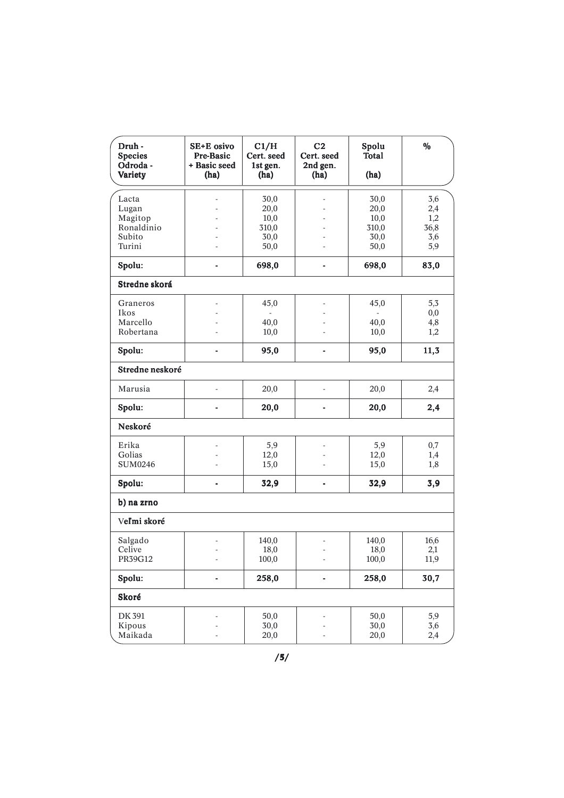| Druh -<br><b>Species</b><br>Odroda -<br>Variety | SE+E osivo<br>Pre-Basic<br>+ Basic seed<br>(ha) | C1/H<br>Cert. seed<br>1st gen.<br>(ha) | C <sub>2</sub><br>Cert. seed<br>2nd gen.<br>(ha) | Spolu<br><b>Total</b><br>(ha) | $\frac{0}{0}$ |
|-------------------------------------------------|-------------------------------------------------|----------------------------------------|--------------------------------------------------|-------------------------------|---------------|
| Lacta                                           |                                                 | 30,0                                   |                                                  | 30,0                          | 3,6           |
| Lugan                                           |                                                 | 20,0                                   |                                                  | 20,0                          | 2,4           |
| Magitop                                         |                                                 | 10,0                                   |                                                  | 10,0                          | 1,2           |
| Ronaldinio                                      |                                                 | 310,0                                  |                                                  | 310,0                         | 36,8          |
| Subito                                          |                                                 | 30,0                                   |                                                  | 30,0                          | 3,6           |
| Turini                                          |                                                 | 50,0                                   |                                                  | 50,0                          | 5,9           |
| Spolu:                                          | $\blacksquare$                                  | 698,0                                  | $\blacksquare$                                   | 698,0                         | 83,0          |
| Stredne skorá                                   |                                                 |                                        |                                                  |                               |               |
| Graneros                                        |                                                 | 45,0                                   |                                                  | 45,0                          | 5,3           |
| Ikos                                            | ٠                                               |                                        |                                                  | ÷.                            | 0,0           |
| Marcello                                        |                                                 | 40,0                                   |                                                  | 40,0                          | 4,8           |
| Robertana                                       | $\overline{a}$                                  | 10,0                                   |                                                  | 10,0                          | 1,2           |
| Spolu:                                          | $\blacksquare$                                  | 95,0                                   | $\overline{a}$                                   | 95,0                          | 11,3          |
| Stredne neskoré                                 |                                                 |                                        |                                                  |                               |               |
| Marusia                                         | ÷,                                              | 20,0                                   | L,                                               | 20,0                          | 2,4           |
| Spolu:                                          | $\blacksquare$                                  | 20,0                                   |                                                  | 20,0                          | 2,4           |
| Neskoré                                         |                                                 |                                        |                                                  |                               |               |
| Erika                                           |                                                 | 5,9                                    |                                                  | 5,9                           | 0,7           |
| Golias                                          |                                                 | 12,0                                   |                                                  | 12,0                          | 1,4           |
| <b>SUM0246</b>                                  |                                                 | 15,0                                   |                                                  | 15,0                          | 1,8           |
| Spolu:                                          | ٠                                               | 32,9                                   | -                                                | 32,9                          | 3,9           |
| b) na zrno                                      |                                                 |                                        |                                                  |                               |               |
| Veľmi skoré                                     |                                                 |                                        |                                                  |                               |               |
| Salgado                                         |                                                 | 140,0                                  |                                                  | 140,0                         | 16,6          |
| Celive                                          |                                                 | 18,0                                   |                                                  | 18,0                          | 2,1           |
| PR39G12                                         |                                                 | 100,0                                  |                                                  | 100,0                         | 11,9          |
| Spolu:                                          | $\overline{\phantom{a}}$                        | 258,0                                  |                                                  | 258,0                         | 30,7          |
| Skoré                                           |                                                 |                                        |                                                  |                               |               |
| DK 391                                          |                                                 | 50,0                                   |                                                  | 50,0                          | 5,9           |
| Kipous                                          |                                                 | 30,0                                   |                                                  | 30,0                          | 3,6           |
| Maikada                                         |                                                 | 20,0                                   |                                                  | 20,0                          | 2,4           |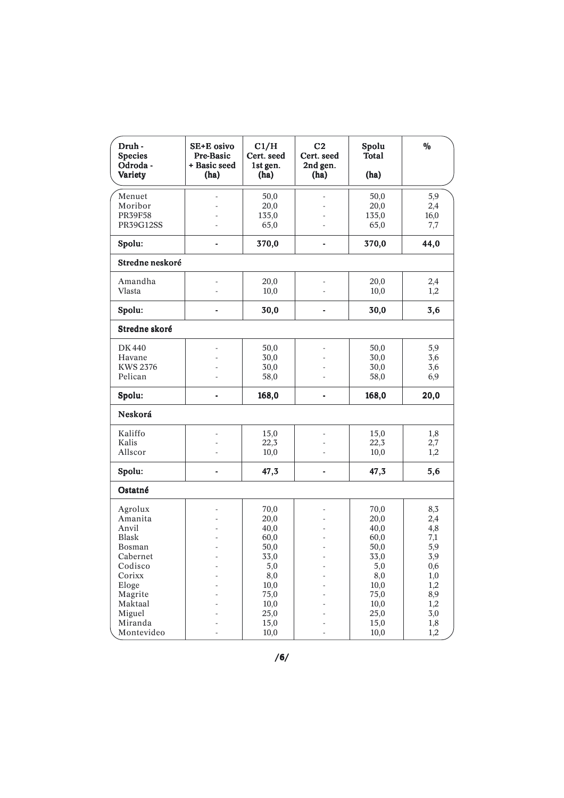| Druh -<br><b>Species</b><br>Odroda -<br>Variety | SE+E osivo<br>Pre-Basic<br>+ Basic seed<br>(ha) | C1/H<br>Cert. seed<br>1st gen.<br>(ha) | C <sub>2</sub><br>Cert. seed<br>2nd gen.<br>(ha) | Spolu<br><b>Total</b><br>(ha) | $\frac{0}{0}$ |
|-------------------------------------------------|-------------------------------------------------|----------------------------------------|--------------------------------------------------|-------------------------------|---------------|
| Menuet                                          |                                                 | 50,0                                   |                                                  | 50,0                          | 5,9           |
| Moribor                                         |                                                 | 20,0                                   |                                                  | 20,0                          | 2,4           |
| <b>PR39F58</b>                                  |                                                 | 135,0                                  |                                                  | 135,0                         | 16,0          |
| <b>PR39G12SS</b>                                |                                                 | 65,0                                   |                                                  | 65,0                          | 7,7           |
| Spolu:                                          |                                                 | 370,0                                  | -                                                | 370,0                         | 44,0          |
| Stredne neskoré                                 |                                                 |                                        |                                                  |                               |               |
| Amandha                                         |                                                 | 20,0                                   |                                                  | 20,0                          | 2,4           |
| Vlasta                                          |                                                 | 10,0                                   |                                                  | 10,0                          | 1,2           |
| Spolu:                                          |                                                 | 30,0                                   |                                                  | 30,0                          | 3,6           |
| Stredne skoré                                   |                                                 |                                        |                                                  |                               |               |
| <b>DK440</b>                                    |                                                 | 50,0                                   |                                                  | 50,0                          | 5,9           |
| Havane                                          |                                                 | 30,0                                   |                                                  | 30,0                          | 3,6           |
| <b>KWS 2376</b>                                 |                                                 | 30,0                                   |                                                  | 30,0                          | 3,6           |
| Pelican                                         |                                                 | 58,0                                   |                                                  | 58,0                          | 6,9           |
| Spolu:                                          |                                                 | 168,0                                  |                                                  | 168,0                         | 20,0          |
| Neskorá                                         |                                                 |                                        |                                                  |                               |               |
| Kaliffo                                         | ÷,                                              | 15,0                                   |                                                  | 15,0                          | 1,8           |
| Kalis                                           |                                                 | 22,3                                   |                                                  | 22,3                          | 2,7           |
| Allscor                                         |                                                 | 10,0                                   |                                                  | 10,0                          | 1,2           |
| Spolu:                                          |                                                 | 47,3                                   | -                                                | 47,3                          | 5,6           |
| Ostatné                                         |                                                 |                                        |                                                  |                               |               |
| Agrolux                                         |                                                 | 70,0                                   |                                                  | 70,0                          | 8,3           |
| Amanita                                         |                                                 | 20,0                                   |                                                  | 20,0                          | 2,4           |
| Anvil                                           |                                                 | 40,0                                   |                                                  | 40,0                          | 4,8           |
| <b>Blask</b>                                    |                                                 | 60,0                                   |                                                  | 60,0                          | 7,1           |
| Bosman                                          |                                                 | 50,0                                   |                                                  | 50,0                          | 5,9           |
| Cabernet                                        |                                                 | 33,0                                   |                                                  | 33,0                          | 3,9           |
| Codisco                                         | $\overline{a}$                                  | 5,0                                    |                                                  | 5,0                           | 0,6           |
| Corixx                                          |                                                 | 8,0                                    |                                                  | 8,0                           | 1,0           |
| Eloge                                           |                                                 | 10,0                                   |                                                  | 10,0                          | 1,2           |
| Magrite<br>Maktaal                              |                                                 | 75,0                                   |                                                  | 75,0                          | 8,9           |
| Miguel                                          |                                                 | 10,0<br>25,0                           |                                                  | 10,0<br>25,0                  | 1,2<br>3,0    |
| Miranda                                         |                                                 | 15,0                                   |                                                  | 15,0                          | 1,8           |
| Montevideo                                      |                                                 | 10,0                                   | ä,                                               | 10,0                          | 1,2           |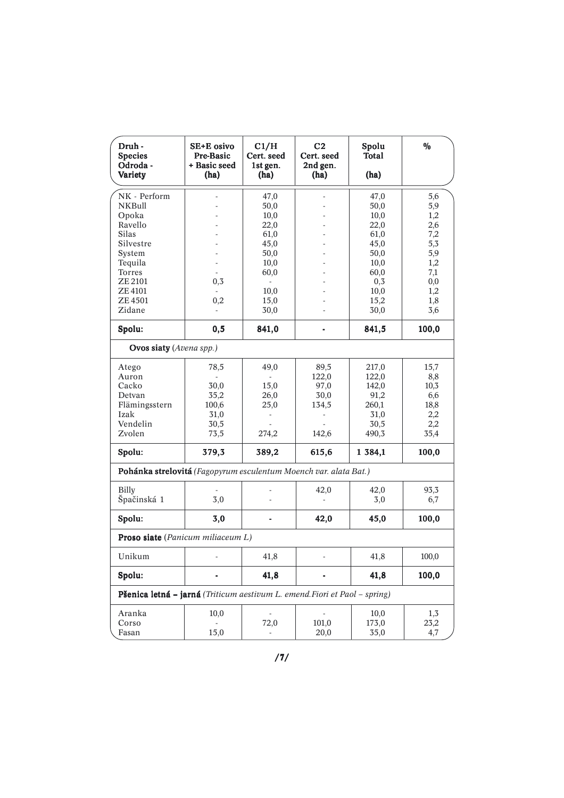| Druh -<br><b>Species</b><br>Odroda -<br>Variety                            | SE+E osivo<br>Pre-Basic<br>+ Basic seed<br>(ha) | C1/H<br>Cert. seed<br>1st gen.<br>(ha) | C <sub>2</sub><br>Cert. seed<br>2nd gen.<br>(ha) | Spolu<br><b>Total</b><br>(ha) | $\frac{0}{0}$ |
|----------------------------------------------------------------------------|-------------------------------------------------|----------------------------------------|--------------------------------------------------|-------------------------------|---------------|
| NK - Perform                                                               |                                                 | 47,0                                   |                                                  | 47,0                          | 5,6           |
| <b>NKBull</b>                                                              |                                                 | 50,0                                   |                                                  | 50,0                          | 5,9           |
| Opoka                                                                      |                                                 | 10,0                                   |                                                  | 10,0                          | 1,2           |
| Ravello                                                                    |                                                 | 22,0                                   |                                                  | 22,0                          | 2,6           |
| <b>Silas</b>                                                               |                                                 | 61,0                                   |                                                  | 61,0                          | 7,2           |
| Silvestre                                                                  |                                                 | 45,0                                   |                                                  | 45,0                          | 5,3           |
| System                                                                     |                                                 | 50,0                                   |                                                  | 50,0                          | 5,9           |
| Tequila                                                                    |                                                 | 10,0                                   |                                                  | 10,0                          | 1,2           |
| Torres                                                                     |                                                 | 60,0                                   |                                                  | 60,0                          | 7,1           |
| ZE 2101                                                                    | 0,3                                             | $\frac{1}{2}$                          |                                                  | 0,3                           | 0,0           |
| <b>ZE4101</b>                                                              |                                                 | 10,0                                   |                                                  | 10,0                          | 1,2           |
| ZE 4501                                                                    | $_{0,2}$                                        | 15,0                                   |                                                  | 15,2                          | 1,8           |
| Zidane                                                                     |                                                 | 30,0                                   |                                                  | 30,0                          | 3,6           |
| Spolu:                                                                     | 0,5                                             | 841,0                                  |                                                  | 841,5                         | 100,0         |
| Ovos siaty (Avena spp.)                                                    |                                                 |                                        |                                                  |                               |               |
| Atego                                                                      | 78,5                                            | 49,0                                   | 89,5                                             | 217,0                         | 15,7          |
| Auron                                                                      | L,                                              |                                        | 122,0                                            | 122,0                         | 8,8           |
| Cacko                                                                      | 30,0                                            | 15,0                                   | 97,0                                             | 142,0                         | 10,3          |
| Detvan                                                                     | 35,2                                            | 26,0                                   | 30,0                                             | 91,2                          | 6,6           |
| Flämingsstern                                                              | 100,6                                           | 25,0                                   | 134,5                                            | 260,1                         | 18,8          |
| Izak                                                                       | 31,0                                            |                                        |                                                  | 31,0                          | 2,2           |
| Vendelin                                                                   | 30,5                                            |                                        |                                                  | 30,5                          | 2,2           |
| Zvolen                                                                     | 73,5                                            | 274,2                                  | 142,6                                            | 490,3                         | 35,4          |
| Spolu:                                                                     | 379,3                                           | 389,2                                  | 615,6                                            | 1 384,1                       | 100,0         |
| Pohánka strelovitá (Fagopyrum esculentum Moench var. alata Bat.)           |                                                 |                                        |                                                  |                               |               |
| Billy                                                                      |                                                 |                                        | 42,0                                             | 42,0                          | 93,3          |
| Špačinská 1                                                                | 3,0                                             |                                        |                                                  | 3,0                           | 6,7           |
| Spolu:                                                                     | 3,0                                             |                                        | 42,0                                             | 45,0                          | 100,0         |
| Proso siate (Panicum miliaceum L)                                          |                                                 |                                        |                                                  |                               |               |
| Unikum                                                                     |                                                 | 41,8                                   |                                                  | 41,8                          | 100,0         |
| Spolu:                                                                     |                                                 | 41,8                                   |                                                  | 41,8                          | 100,0         |
| Pšenica letná – jarná (Triticum aestivum L. emend. Fiori et Paol – spring) |                                                 |                                        |                                                  |                               |               |
| Aranka                                                                     | 10,0                                            |                                        |                                                  | 10,0                          | 1,3           |
| Corso                                                                      |                                                 | 72,0                                   | 101,0                                            | 173,0                         | 23,2          |
| Fasan                                                                      | 15,0                                            |                                        | 20,0                                             | 35,0                          | 4,7           |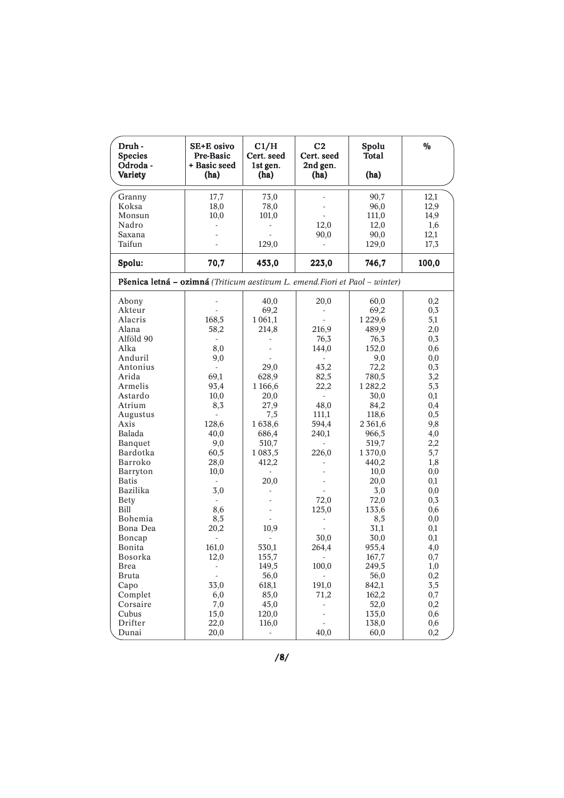| Druh -<br><b>Species</b><br>Odroda -<br>Variety                             | SE+E osivo<br>Pre-Basic<br>+ Basic seed<br>(ha) | C1/H<br>Cert. seed<br>1st gen.<br>(ha) | C <sub>2</sub><br>Cert. seed<br>2nd gen.<br>(ha) | Spolu<br><b>Total</b><br>(ha) | $\%$     |
|-----------------------------------------------------------------------------|-------------------------------------------------|----------------------------------------|--------------------------------------------------|-------------------------------|----------|
| Granny                                                                      | 17,7                                            | 73,0                                   |                                                  | 90,7                          | 12,1     |
| Koksa                                                                       | 18,0                                            | 78,0                                   |                                                  | 96,0                          | 12,9     |
| Monsun                                                                      | 10,0                                            | 101,0                                  |                                                  | 111,0                         | 14,9     |
| Nadro                                                                       | ÷.                                              |                                        |                                                  |                               |          |
| Saxana                                                                      |                                                 |                                        | 12,0                                             | 12,0                          | 1,6      |
| Taifun                                                                      |                                                 |                                        | 90,0                                             | 90,0                          | 12,1     |
|                                                                             |                                                 | 129,0                                  |                                                  | 129,0                         | 17,3     |
| Spolu:                                                                      | 70,7                                            | 453,0                                  | 223,0                                            | 746,7                         | 100,0    |
| Pšenica letná – ozimná (Triticum aestivum L. emend. Fiori et Paol – winter) |                                                 |                                        |                                                  |                               |          |
| Abony                                                                       |                                                 | 40,0                                   | 20,0                                             | 60,0                          | 0,2      |
| Akteur                                                                      |                                                 | 69,2                                   | $\frac{1}{2}$                                    | 69,2                          | 0,3      |
| Alacris                                                                     | 168,5                                           | 1 0 6 1 , 1                            |                                                  | 1229,6                        | 5,1      |
| Alana                                                                       | 58,2                                            | 214,8                                  | 216,9                                            | 489,9                         | 2,0      |
| Alföld 90                                                                   | $\overline{\phantom{a}}$                        |                                        | 76,3                                             | 76,3                          | 0,3      |
| Alka                                                                        | 8,0                                             |                                        | 144,0                                            | 152,0                         | 0,6      |
| Anduril                                                                     | 9,0                                             |                                        |                                                  | 9,0                           | $_{0,0}$ |
| Antonius                                                                    | $\sim$                                          | 29,0                                   | 43,2                                             | 72,2                          | 0,3      |
| Arida                                                                       | 69,1                                            | 628,9                                  | 82,5                                             | 780,5                         | 3,2      |
| Armelis                                                                     | 93,4                                            | 1 166,6                                | 22,2                                             | 1282,2                        | 5,3      |
| Astardo                                                                     | 10,0                                            | 20,0                                   | ÷.                                               | 30,0                          | 0,1      |
| Atrium                                                                      | 8,3                                             | 27,9                                   | 48,0                                             | 84,2                          | 0,4      |
| Augustus                                                                    |                                                 | 7,5                                    | 111,1                                            | 118,6                         | 0,5      |
| Axis                                                                        | 128,6                                           | 1638,6                                 | 594,4                                            | 2 3 6 1, 6                    | 9,8      |
| Balada                                                                      | 40,0                                            | 686,4                                  | 240,1                                            | 966,5                         | 4,0      |
| Banquet                                                                     | 9,0                                             | 510,7                                  |                                                  | 519,7                         | 2,2      |
| Bardotka                                                                    | 60,5                                            | 1 0 8 3 , 5                            | 226,0                                            | 1370,0                        | 5,7      |
| Barroko                                                                     | 28,0                                            | 412,2                                  |                                                  | 440,2                         | 1,8      |
| Barryton                                                                    | 10,0                                            |                                        |                                                  | 10,0                          | $_{0,0}$ |
| <b>Batis</b>                                                                | $\sim$                                          | 20,0                                   |                                                  | 20,0                          | 0,1      |
| Bazilika                                                                    | 3,0                                             |                                        |                                                  | 3,0                           | $_{0,0}$ |
| <b>Bety</b>                                                                 | $\overline{\phantom{a}}$                        |                                        | 72,0                                             | 72,0                          | 0,3      |
| Bill                                                                        | 8,6                                             |                                        | 125,0                                            | 133,6                         | 0,6      |
| Bohemia                                                                     | 8,5                                             |                                        |                                                  | 8,5                           | 0,0      |
| Bona Dea                                                                    | 20,2                                            | 10,9                                   |                                                  | 31,1                          | 0,1      |
| Boncap                                                                      |                                                 |                                        | 30,0                                             | 30,0                          | 0,1      |
| Bonita                                                                      | 161,0                                           | 530,1                                  | 264,4                                            | 955,4                         | 4,0      |
| Bosorka                                                                     | 12,0                                            | 155,7                                  |                                                  | 167,7                         | $_{0,7}$ |
| <b>Brea</b>                                                                 | $\overline{\phantom{a}}$                        | 149,5                                  | 100,0                                            | 249,5                         | 1,0      |
| <b>Bruta</b>                                                                | $\overline{\phantom{a}}$                        | 56,0                                   |                                                  | 56,0                          | 0,2      |
| Capo                                                                        | 33,0                                            | 618,1                                  | 191,0                                            | 842,1                         | 3,5      |
| Complet                                                                     | 6,0                                             | 85,0                                   | 71,2                                             | 162,2                         | $_{0,7}$ |
| Corsaire                                                                    | 7,0                                             | 45,0                                   |                                                  | 52,0                          | 0,2      |
| Cubus                                                                       | 15,0                                            | 120,0                                  | $\overline{\phantom{a}}$                         | 135,0                         | 0,6      |
| Drifter                                                                     | 22,0                                            | 116,0                                  | $\sim$                                           | 138,0                         | 0,6      |
| Dunai                                                                       | 20,0                                            |                                        | 40,0                                             | 60,0                          | 0,2      |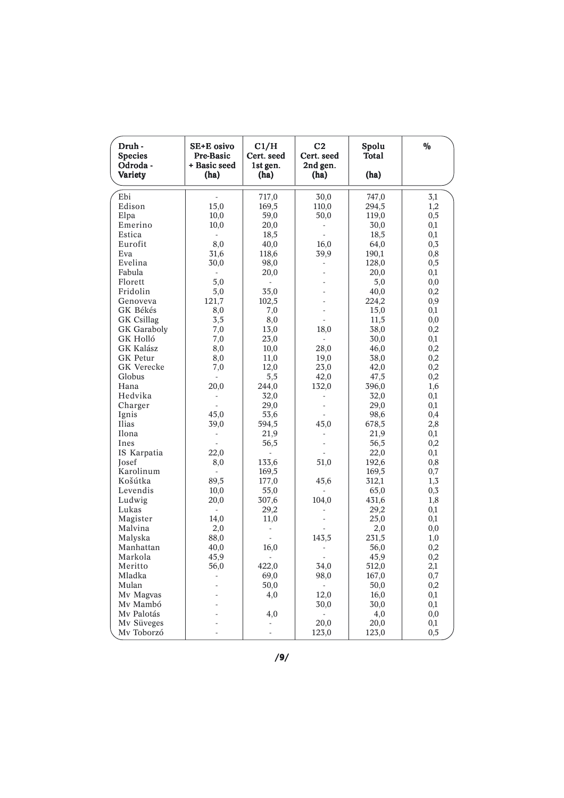| Druh -<br><b>Species</b><br>Odroda -<br>Variety | SE+E osivo<br>Pre-Basic<br>+ Basic seed<br>(ha) | C1/H<br>Cert. seed<br>1st gen.<br>(ha) | C <sub>2</sub><br>Cert. seed<br>2nd gen.<br>(ha) | Spolu<br><b>Total</b><br>(ha) | $\%$     |
|-------------------------------------------------|-------------------------------------------------|----------------------------------------|--------------------------------------------------|-------------------------------|----------|
| Ebi                                             |                                                 |                                        | 30,0                                             | 747,0                         |          |
| Edison                                          | 15,0                                            | 717,0<br>169,5                         |                                                  |                               | 3,1      |
|                                                 |                                                 |                                        | 110,0                                            | 294,5                         | 1,2      |
| Elpa                                            | 10,0                                            | 59,0                                   | 50,0                                             | 119,0                         | 0,5      |
| Emerino<br>Estica                               | 10,0                                            | 20,0                                   |                                                  | 30,0                          | 0,1      |
| Eurofit                                         |                                                 | 18,5                                   |                                                  | 18,5                          | 0,1      |
|                                                 | 8,0                                             | 40,0                                   | 16,0                                             | 64,0                          | 0, 3     |
| Eva                                             | 31,6                                            | 118,6                                  | 39,9                                             | 190,1                         | 0,8      |
| Evelina                                         | 30,0                                            | 98,0                                   |                                                  | 128,0                         | 0,5      |
| Fabula                                          | ä,                                              | 20,0                                   |                                                  | 20,0                          | 0,1      |
| Florett                                         | 5,0                                             | $\sim$                                 |                                                  | 5,0                           | $_{0,0}$ |
| Fridolin                                        | 5,0                                             | 35,0                                   |                                                  | 40,0                          | 0,2      |
| Genoveva                                        | 121,7                                           | 102,5                                  |                                                  | 224,2                         | 0,9      |
| GK Békés                                        | 8,0                                             | 7,0                                    |                                                  | 15,0                          | 0,1      |
| <b>GK</b> Csillag                               | 3,5                                             | 8,0                                    |                                                  | 11,5                          | $_{0,0}$ |
| <b>GK</b> Garaboly                              | 7,0                                             | 13,0                                   | 18,0                                             | 38,0                          | 0,2      |
| GK Holló                                        | 7,0                                             | 23,0                                   | ÷.                                               | 30,0                          | 0,1      |
| GK Kalász                                       | 8,0                                             | 10,0                                   | 28,0                                             | 46,0                          | 0,2      |
| <b>GK</b> Petur                                 | 8,0                                             | 11,0                                   | 19,0                                             | 38,0                          | 0,2      |
| GK Verecke                                      | 7,0                                             | 12,0                                   | 23,0                                             | 42,0                          | 0,2      |
| Globus                                          |                                                 | 5,5                                    | 42,0                                             | 47,5                          | 0,2      |
| Hana                                            | 20,0                                            | 244,0                                  | 132,0                                            | 396,0                         | 1,6      |
| Hedvika                                         | ÷                                               | 32,0                                   |                                                  | 32,0                          | 0,1      |
| Charger                                         |                                                 | 29,0                                   |                                                  | 29,0                          | 0,1      |
| Ignis                                           | 45,0                                            | 53,6                                   |                                                  | 98,6                          | 0,4      |
| Ilias                                           | 39,0                                            | 594,5                                  | 45,0                                             | 678,5                         | 2,8      |
| Ilona                                           |                                                 | 21,9                                   |                                                  | 21,9                          | 0,1      |
| Ines                                            |                                                 | 56,5                                   |                                                  | 56,5                          | 0,2      |
| IS Karpatia                                     | 22,0                                            | $\sim$                                 |                                                  | 22,0                          | 0,1      |
| Josef                                           | 8,0                                             | 133,6                                  | 51,0                                             | 192,6                         | 0,8      |
| Karolinum                                       |                                                 | 169,5                                  |                                                  | 169,5                         | 0,7      |
| Košútka                                         | 89,5                                            | 177,0                                  | 45,6                                             | 312,1                         | 1,3      |
| Levendis                                        | 10,0                                            | 55,0                                   |                                                  | 65,0                          | 0,3      |
| Ludwig                                          | 20,0                                            | 307,6                                  | 104,0                                            | 431,6                         | 1,8      |
| Lukas                                           | ÷.                                              | 29,2                                   |                                                  | 29,2                          | 0,1      |
| Magister                                        | 14,0                                            | 11,0                                   |                                                  | 25,0                          | 0,1      |
| Malvina                                         | 2,0                                             |                                        |                                                  | 2,0                           | $_{0,0}$ |
| Malyska                                         | 88,0                                            |                                        | 143,5                                            | 231,5                         | 1,0      |
| Manhattan                                       | 40,0                                            | 16,0                                   |                                                  | 56,0                          | 0,2      |
| Markola                                         | 45,9                                            |                                        |                                                  | 45,9                          | $_{0,2}$ |
| Meritto                                         | 56,0                                            | 422,0                                  | 34,0                                             | 512,0                         | 2,1      |
| Mladka                                          | ÷,                                              | 69,0                                   | 98,0                                             | 167,0                         | 0,7      |
| Mulan                                           |                                                 | 50,0                                   | $\overline{\phantom{a}}$                         | 50,0                          | 0,2      |
| Mv Magvas                                       |                                                 | 4,0                                    | 12,0                                             | 16,0                          | 0,1      |
| Mv Mambó                                        |                                                 |                                        | 30,0                                             | 30,0                          | 0,1      |
| Mv Palotás                                      |                                                 | 4,0                                    | $\overline{\phantom{a}}$                         | 4,0                           | 0,0      |
| Mv Süveges                                      |                                                 |                                        | 20,0                                             | 20,0                          | $_{0,1}$ |
| Mv Toborzó                                      |                                                 | $\overline{\phantom{a}}$               | 123,0                                            | 123,0                         | 0,5      |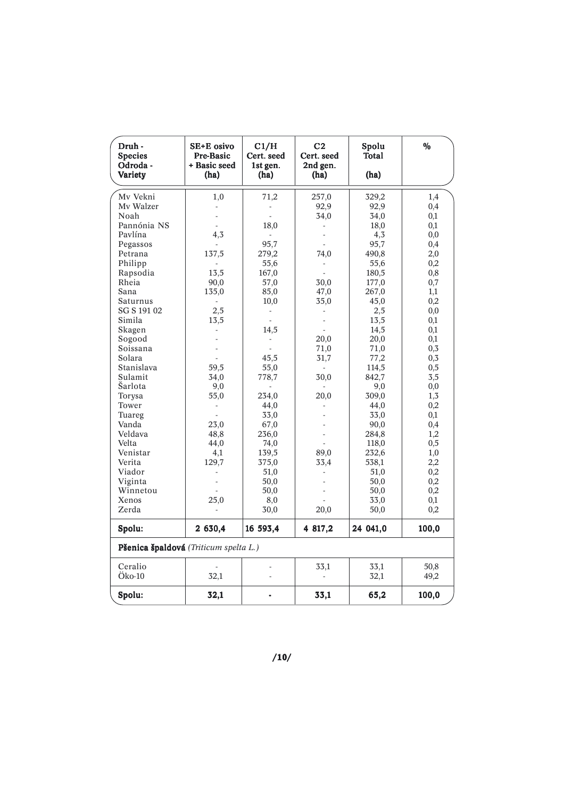| Druh -<br><b>Species</b><br>Odroda -<br>Variety | SE+E osivo<br>Pre-Basic<br>+ Basic seed<br>(ha) | C1/H<br>Cert. seed<br>1st gen.<br>(ha) | C <sub>2</sub><br>Cert. seed<br>2nd gen.<br>(ha) | Spolu<br>Total<br>(ha) | $\frac{0}{0}$ |
|-------------------------------------------------|-------------------------------------------------|----------------------------------------|--------------------------------------------------|------------------------|---------------|
|                                                 |                                                 |                                        |                                                  |                        |               |
| Mv Vekni<br>Mv Walzer                           | 1,0                                             | 71,2                                   | 257,0<br>92,9                                    | 329,2                  | 1,4<br>0,4    |
| Noah                                            |                                                 |                                        | 34,0                                             | 92,9<br>34,0           | 0,1           |
| Pannónia NS                                     |                                                 | 18,0                                   |                                                  | 18,0                   | 0,1           |
| Pavlína                                         | 4,3                                             |                                        |                                                  | 4,3                    | 0,0           |
| Pegassos                                        |                                                 | 95,7                                   |                                                  | 95,7                   | 0,4           |
| Petrana                                         | 137,5                                           | 279,2                                  | 74,0                                             | 490,8                  | 2,0           |
| Philipp                                         |                                                 | 55,6                                   |                                                  | 55,6                   | 0,2           |
| Rapsodia                                        | 13,5                                            | 167,0                                  |                                                  | 180,5                  | 0,8           |
| Rheia                                           | 90,0                                            | 57,0                                   | 30,0                                             | 177,0                  | 0,7           |
| Sana                                            | 135,0                                           | 85,0                                   | 47,0                                             | 267,0                  | 1,1           |
| Saturnus                                        |                                                 | 10,0                                   | 35,0                                             | 45,0                   | 0,2           |
| SG S 191 02                                     | 2,5                                             | $\sim$                                 |                                                  | 2,5                    | 0,0           |
| Simila                                          | 13,5                                            |                                        |                                                  | 13,5                   | 0,1           |
| Skagen                                          |                                                 | 14,5                                   |                                                  | 14,5                   | 0,1           |
| Sogood                                          |                                                 |                                        | 20,0                                             | 20,0                   | 0,1           |
| Soissana                                        |                                                 |                                        | 71,0                                             | 71,0                   | 0,3           |
| Solara                                          |                                                 | 45,5                                   | 31,7                                             | 77,2                   | 0,3           |
| Stanislava                                      | 59,5                                            | 55,0                                   | ÷                                                | 114,5                  | 0,5           |
| Sulamit                                         | 34,0                                            | 778,7                                  | 30,0                                             | 842,7                  | 3,5           |
| Šarlota                                         | 9,0                                             |                                        |                                                  | 9,0                    | 0,0           |
| Torysa                                          | 55,0                                            | 234,0                                  | 20,0                                             | 309,0                  | 1,3           |
| Tower                                           |                                                 | 44,0                                   |                                                  | 44,0                   | 0,2           |
| Tuareg                                          |                                                 | 33,0                                   |                                                  | 33,0                   | 0,1           |
| Vanda                                           | 23,0                                            | 67,0                                   |                                                  | 90,0                   | 0,4           |
| Veldava                                         | 48,8                                            | 236,0                                  |                                                  | 284,8                  | 1,2           |
| Velta                                           | 44,0                                            | 74,0                                   |                                                  | 118,0                  | 0,5           |
| Venistar                                        | 4,1                                             | 139,5                                  | 89,0                                             | 232,6                  | 1,0           |
| Verita                                          | 129,7                                           | 375,0                                  | 33,4                                             | 538,1                  | 2,2           |
| Viador                                          |                                                 | 51,0                                   |                                                  | 51,0                   | 0,2           |
| Viginta                                         |                                                 | 50,0                                   |                                                  | 50,0                   | 0,2           |
| Winnetou                                        |                                                 | 50,0                                   |                                                  | 50,0                   | 0,2           |
| Xenos                                           | 25,0                                            | 8,0                                    |                                                  | 33,0                   | 0,1           |
| Zerda                                           |                                                 | 30,0                                   | 20,0                                             | 50,0                   | 0,2           |
| Spolu:                                          | 2 630,4                                         | 16 593,4                               | 4 817,2                                          | 24 041,0               | 100,0         |
| Pšenica špaldová (Triticum spelta L.)           |                                                 |                                        |                                                  |                        |               |
| Ceralio                                         |                                                 |                                        | 33,1                                             | 33,1                   | 50,8          |
| Öko-10                                          | 32,1                                            |                                        |                                                  | 32,1                   | 49,2          |
| Spolu:                                          | 32,1                                            |                                        | 33,1                                             | 65,2                   | 100,0         |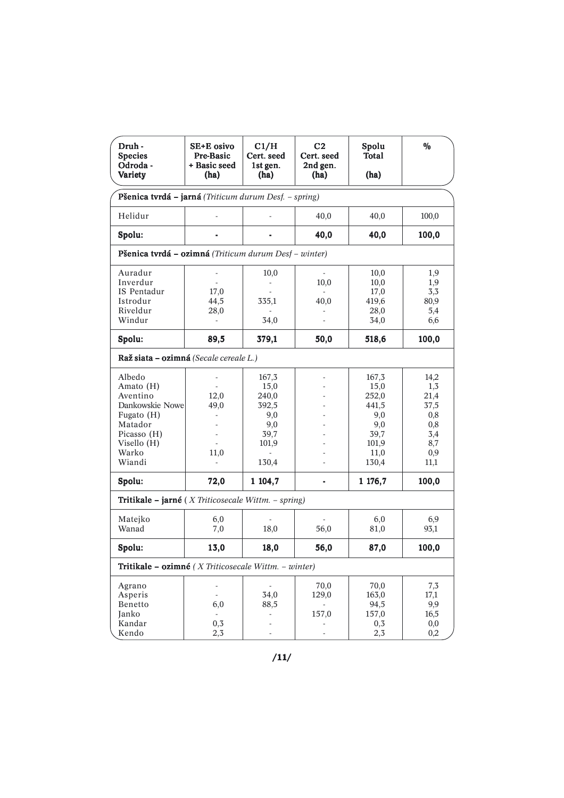| Druh -<br><b>Species</b><br>Odroda -<br>Variety                                                                              | SE+E osivo<br>Pre-Basic<br>+ Basic seed<br>(ha)                                   | C1/H<br>Cert. seed<br>1st gen.<br>(ha)                                  | C <sub>2</sub><br>Cert. seed<br>2nd gen.<br>(ha) | Spolu<br>Total<br>(ha)                                                          | $\%$                                                                   |
|------------------------------------------------------------------------------------------------------------------------------|-----------------------------------------------------------------------------------|-------------------------------------------------------------------------|--------------------------------------------------|---------------------------------------------------------------------------------|------------------------------------------------------------------------|
| Pšenica tvrdá – jarná (Triticum durum Desf. – spring)                                                                        |                                                                                   |                                                                         |                                                  |                                                                                 |                                                                        |
| Helidur                                                                                                                      |                                                                                   |                                                                         | 40,0                                             | 40,0                                                                            | 100,0                                                                  |
| Spolu:                                                                                                                       |                                                                                   |                                                                         | 40,0                                             | 40,0                                                                            | 100,0                                                                  |
| Pšenica tvrdá – ozimná (Triticum durum Desf – winter)                                                                        |                                                                                   |                                                                         |                                                  |                                                                                 |                                                                        |
| Auradur<br>Inverdur<br>IS Pentadur<br>Istrodur<br>Riveldur<br>Windur                                                         | ÷,<br>17,0<br>44,5<br>28,0<br>÷.                                                  | 10,0<br>335,1<br>34,0                                                   | ÷.<br>10,0<br>40,0                               | 10,0<br>10,0<br>17,0<br>419,6<br>28,0<br>34,0                                   | 1,9<br>1,9<br>3,3<br>80,9<br>5,4<br>6,6                                |
| Spolu:                                                                                                                       | 89,5                                                                              | 379,1                                                                   | 50,0                                             | 518,6                                                                           | 100,0                                                                  |
| Raž siata – ozimná (Secale cereale L.)                                                                                       |                                                                                   |                                                                         |                                                  |                                                                                 |                                                                        |
| Albedo<br>Amato (H)<br>Aventino<br>Dankowskie Nowe<br>Fugato (H)<br>Matador<br>Picasso (H)<br>Visello (H)<br>Warko<br>Wiandi | $\overline{a}$<br>12,0<br>49,0<br>$\mathcal{L}^{\mathcal{A}}$<br>÷,<br>L.<br>11,0 | 167,3<br>15,0<br>240,0<br>392,5<br>9,0<br>9,0<br>39,7<br>101,9<br>130,4 |                                                  | 167,3<br>15,0<br>252,0<br>441,5<br>9,0<br>9,0<br>39,7<br>101,9<br>11,0<br>130,4 | 14,2<br>1,3<br>21,4<br>37,5<br>0,8<br>0,8<br>3,4<br>8,7<br>0,9<br>11,1 |
| Spolu:                                                                                                                       | 72,0                                                                              | 1 104,7                                                                 |                                                  | 1 176,7                                                                         | 100,0                                                                  |
| <b>Tritikale – jarné</b> ( <i>X Triticosecale Wittm. – spring</i> )                                                          |                                                                                   |                                                                         |                                                  |                                                                                 |                                                                        |
| Matejko<br>Wanad                                                                                                             | 6,0<br>7,0                                                                        | 18,0                                                                    | 56,0                                             | 6,0<br>81,0                                                                     | 6,9<br>93,1                                                            |
| Spolu:                                                                                                                       | 13,0                                                                              | 18,0                                                                    | 56,0                                             | 87,0                                                                            | 100,0                                                                  |
| Tritikale – ozimné ( $X$ Triticosecale Wittm. – winter)                                                                      |                                                                                   |                                                                         |                                                  |                                                                                 |                                                                        |
| Agrano<br>Asperis<br>Benetto<br>Janko<br>Kandar<br>Kendo                                                                     | $\overline{\phantom{0}}$<br>6,0<br>$\overline{\phantom{0}}$<br>0,3<br>2,3         | $\overline{\phantom{a}}$<br>34,0<br>88,5                                | 70,0<br>129,0<br>157,0                           | 70,0<br>163,0<br>94,5<br>157,0<br>0,3<br>2,3                                    | 7,3<br>17,1<br>9,9<br>16,5<br>$_{0,0}$<br>0,2                          |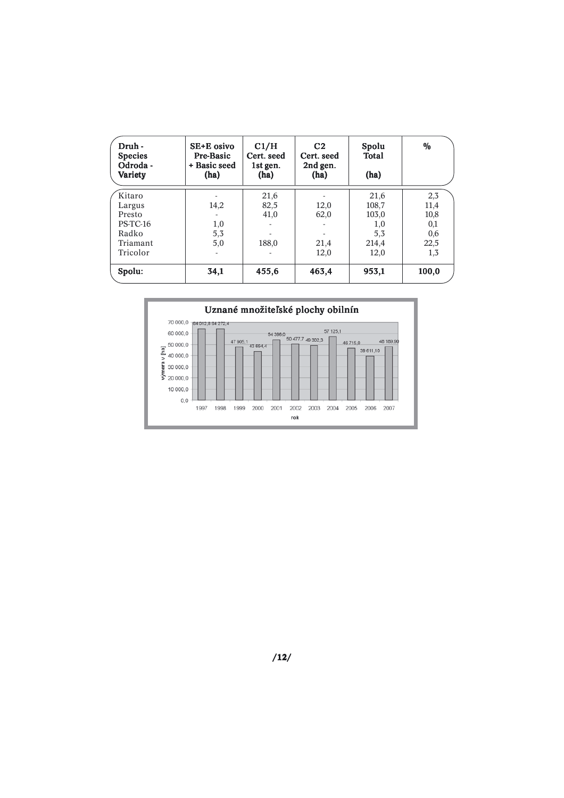| Druh -<br><b>Species</b><br>Odroda -<br>Variety | SE+E osivo<br>Pre-Basic<br>+ Basic seed<br>(ha) | C1/H<br>Cert. seed<br>1st gen.<br>(ha) | C <sub>2</sub><br>Cert. seed<br>2nd gen.<br>(ha) | Spolu<br>Total<br>(ha) | $\frac{0}{0}$ |
|-------------------------------------------------|-------------------------------------------------|----------------------------------------|--------------------------------------------------|------------------------|---------------|
| Kitaro                                          |                                                 | 21,6                                   |                                                  | 21,6                   | 2,3           |
| Largus                                          | 14,2                                            | 82,5                                   | 12,0                                             | 108,7                  | 11,4          |
| Presto                                          |                                                 | 41,0                                   | 62,0                                             | 103,0                  | 10,8          |
| $PS-TC-16$                                      | 1,0                                             |                                        |                                                  | 1,0                    | 0,1           |
| Radko                                           | 5,3                                             |                                        |                                                  | 5,3                    | 0,6           |
| Triamant                                        | 5,0                                             | 188,0                                  | 21,4                                             | 214,4                  | 22,5          |
| Tricolor                                        |                                                 |                                        | 12,0                                             | 12,0                   | 1,3           |
| Spolu:                                          | 34,1                                            | 455,6                                  | 463,4                                            | 953,1                  | 100,0         |

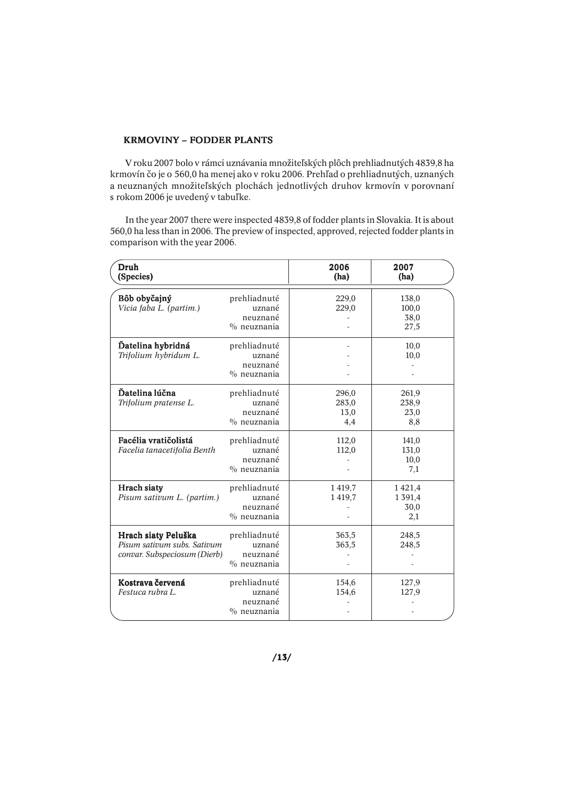### KRMOVINY – FODDER PLANTS

 V roku 2007 bolo v rámci uznávania množiteľských plôch prehliadnutých 4839,8 ha krmovín čo je o 560,0 ha menej ako v roku 2006. Prehľad o prehliadnutých, uznaných a neuznaných množiteľských plochách jednotlivých druhov krmovín v porovnaní s rokom 2006 je uvedený v tabuľke.

 In the year 2007 there were inspected 4839,8 of fodder plants in Slovakia. It is about 560,0 ha less than in 2006. The preview of inspected, approved, rejected fodder plants in comparison with the year 2006.

| Druh<br>(Species)                                                                  |                                                      | 2006<br>(ha)                  | 2007<br>(ha)                    |
|------------------------------------------------------------------------------------|------------------------------------------------------|-------------------------------|---------------------------------|
| Bôb obyčajný<br>Vicia faba L. (partim.)                                            | prehliadnuté<br>uznané<br>neuznané<br>$\%$ neuznania | 229,0<br>229,0                | 138,0<br>100,0<br>38,0<br>27,5  |
| Datelina hybridná<br>Trifolium hybridum L.                                         | prehliadnuté<br>uznané<br>neuznané<br>$\%$ neuznania |                               | 10,0<br>10,0                    |
| Ďatelina lúčna<br>Trifolium pratense L.                                            | prehliadnuté<br>uznané<br>neuznané<br>$\%$ neuznania | 296,0<br>283,0<br>13,0<br>4,4 | 261,9<br>238,9<br>23,0<br>8,8   |
| Facélia vratičolistá<br>Facelia tanacetifolia Benth                                | prehliadnuté<br>uznané<br>neuznané<br>$\%$ neuznania | 112,0<br>112,0                | 141,0<br>131,0<br>10,0<br>7,1   |
| Hrach siaty<br>Pisum sativum L. (partim.)                                          | prehliadnuté<br>uznané<br>neuznané<br>$\%$ neuznania | 1419,7<br>1419,7              | 1421,4<br>1391,4<br>30,0<br>2,1 |
| Hrach siaty Peluška<br>Pisum sativum subs. Sativum<br>convar. Subspeciosum (Dierb) | prehliadnuté<br>uznané<br>neuznané<br>$\%$ neuznania | 363,5<br>363,5                | 248,5<br>248,5                  |
| Kostrava červená<br>Festuca rubra L.                                               | prehliadnuté<br>uznané<br>neuznané<br>$\%$ neuznania | 154,6<br>154,6                | 127,9<br>127,9                  |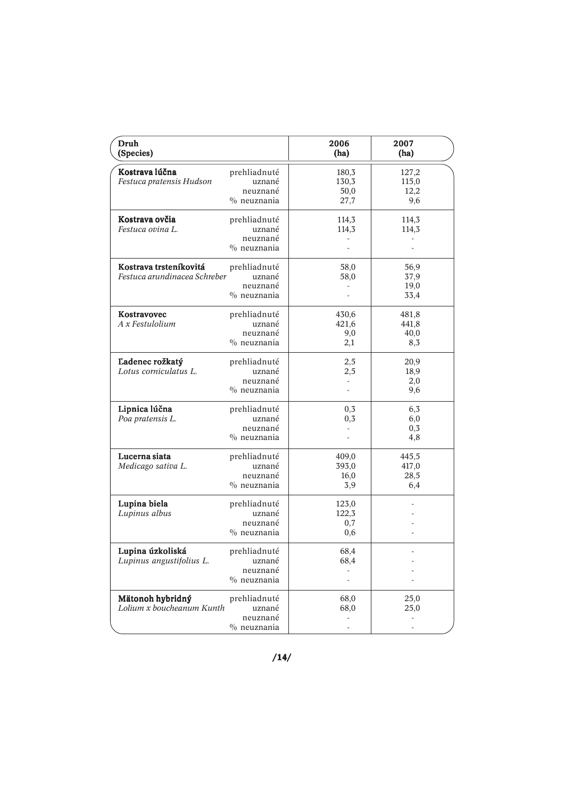| Druh<br>(Species)                                      |                                                      | 2006<br>(ha)                                              | 2007<br>(ha)                  |
|--------------------------------------------------------|------------------------------------------------------|-----------------------------------------------------------|-------------------------------|
| Kostrava lúčna<br>Festuca pratensis Hudson             | prehliadnuté<br>uznané<br>neuznané<br>$\%$ neuznania | 180,3<br>130,3<br>50,0<br>27,7                            | 127,2<br>115,0<br>12,2<br>9,6 |
| Kostrava ovčia<br>Festuca ovina L.                     | prehliadnuté<br>uznané<br>neuznané<br>$\%$ neuznania | 114,3<br>114,3                                            | 114,3<br>114,3                |
| Kostrava trsteníkovitá<br>Festuca arundinacea Schreber | prehliadnuté<br>uznané<br>neuznané<br>$\%$ neuznania | 58,0<br>58,0                                              | 56,9<br>37,9<br>19,0<br>33,4  |
| Kostravovec<br>A x Festulolium                         | prehliadnuté<br>uznané<br>neuznané<br>$\%$ neuznania | 430,6<br>421,6<br>9,0<br>2,1                              | 481,8<br>441,8<br>40,0<br>8,3 |
| Ľadenec rožkatý<br>Lotus corniculatus L.               | prehliadnuté<br>uznané<br>neuznané<br>$\%$ neuznania | 2,5<br>2,5                                                | 20,9<br>18,9<br>2,0<br>9,6    |
| Lipnica lúčna<br>Poa pratensis L.                      | prehliadnuté<br>uznané<br>neuznané<br>$\%$ neuznania | 0,3<br>0,3                                                | 6,3<br>6,0<br>0,3<br>4,8      |
| Lucerna siata<br>Medicago sativa L.                    | prehliadnuté<br>uznané<br>neuznané<br>$%$ neuznania  | 409,0<br>393,0<br>16,0<br>3,9                             | 445,5<br>417,0<br>28,5<br>6,4 |
| Lupina biela<br>Lupinus albus                          | prehliadnuté<br>uznané<br>neuznané<br>$\%$ neuznania | 123,0<br>122,3<br>0,7<br>0,6                              |                               |
| Lupina úzkoliská<br>Lupinus angustifolius L.           | prehliadnuté<br>uznané<br>neuznané<br>$\%$ neuznania | 68,4<br>68,4                                              |                               |
| Mätonoh hybridný<br>Lolium x boucheanum Kunth          | prehliadnuté<br>uznané<br>neuznané<br>$%$ neuznania  | 68,0<br>68,0<br>$\overline{\phantom{m}}$<br>$\frac{1}{2}$ | 25,0<br>25,0<br>L,            |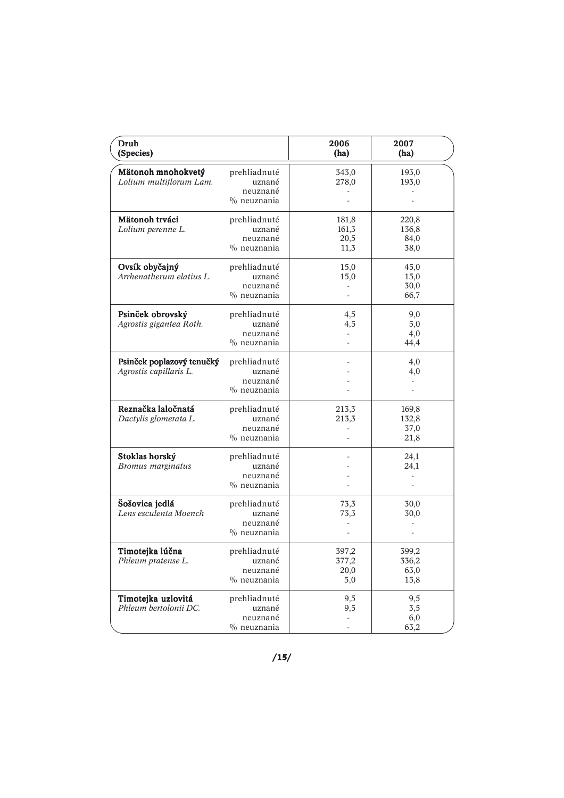| Druh<br>(Species)                                   |                                                      | 2006<br>(ha)                   | 2007<br>(ha)                           |
|-----------------------------------------------------|------------------------------------------------------|--------------------------------|----------------------------------------|
| Mätonoh mnohokvetý<br>Lolium multiflorum Lam.       | prehliadnuté<br>uznané<br>neuznané<br>$\%$ neuznania | 343,0<br>278,0                 | 193,0<br>193,0                         |
| Mätonoh trváci<br>Lolium perenne L.                 | prehliadnuté<br>uznané<br>neuznané<br>$\%$ neuznania | 181,8<br>161,3<br>20,5<br>11,3 | 220,8<br>136,8<br>84,0<br>38,0         |
| Ovsík obyčajný<br>Arrhenatherum elatius L.          | prehliadnuté<br>uznané<br>neuznané<br>$\%$ neuznania | 15,0<br>15,0                   | 45,0<br>15,0<br>30,0<br>66,7           |
| Psinček obrovský<br>Agrostis gigantea Roth.         | prehliadnuté<br>uznané<br>neuznané<br>$\%$ neuznania | 4,5<br>4,5                     | 9,0<br>5,0<br>4,0<br>44,4              |
| Psinček poplazový tenučký<br>Agrostis capillaris L. | prehliadnuté<br>uznané<br>neuznané<br>$\%$ neuznania |                                | 4,0<br>4,0<br>$\overline{\phantom{a}}$ |
| Reznačka laločnatá<br>Dactylis glomerata L.         | prehliadnuté<br>uznané<br>neuznané<br>$\%$ neuznania | 213,3<br>213,3<br>ä,           | 169,8<br>132,8<br>37,0<br>21,8         |
| Stoklas horský<br>Bromus marginatus                 | prehliadnuté<br>uznané<br>neuznané<br>$\%$ neuznania |                                | 24,1<br>24,1                           |
| Šošovica jedlá<br>Lens esculenta Moench             | prehliadnuté<br>uznané<br>neuznané<br>$\%$ neuznania | 73,3<br>73,3                   | 30,0<br>30,0                           |
| Timotejka lúčna<br>Phleum pratense L.               | prehliadnuté<br>uznané<br>neuznané<br>$\%$ neuznania | 397,2<br>377,2<br>20,0<br>5,0  | 399,2<br>336,2<br>63,0<br>15,8         |
| Timotejka uzlovitá<br>Phleum bertolonii DC.         | prehliadnuté<br>uznané<br>neuznané<br>$%$ neuznania  | 9,5<br>9,5                     | 9,5<br>3,5<br>6,0<br>63,2              |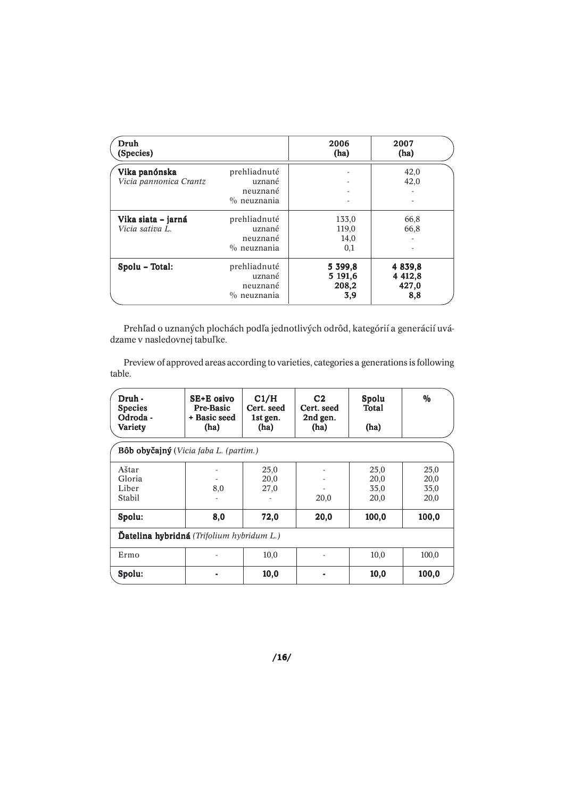| Druh<br>(Species)      |                    | 2006<br>(ha) | 2007<br>(ha) |
|------------------------|--------------------|--------------|--------------|
| Vika panónska          | prehliadnuté       |              | 42,0         |
| Vicia pannonica Crantz | uznané<br>neuznané | ۰            | 42,0         |
|                        | $\%$ neuznania     |              |              |
| Vika siata – jarná     | prehliadnuté       | 133,0        | 66,8         |
| Vicia sativa L.        | uznané             | 119,0        | 66,8         |
|                        | neuznané           | 14,0         |              |
|                        | $\%$ neuznania     | 0,1          |              |
| Spolu – Total:         | prehliadnuté       | 5 399,8      | 4 8 3 9 , 8  |
|                        | uznané             | 5 191,6      | 4 4 12,8     |
|                        | neuznané           | 208,2        | 427,0        |
|                        | $\%$ neuznania     | 3,9          | 8,8          |

Prehľad o uznaných plochách podľa jednotlivých odrôd, kategórií a generácií uvádzame v nasledovnej tabuľke.

Preview of approved areas according to varieties, categories a generations is following table.

| Druh -<br><b>Species</b><br>Odroda -<br><b>Variety</b> | SE+E osivo<br>Pre-Basic<br>+ Basic seed<br>(ha) | C1/H<br>Cert. seed<br>1st gen.<br>(ha) | C <sub>2</sub><br>Cert. seed<br>2nd gen.<br>(ha) | Spolu<br>Total<br>(ha)       | $\frac{0}{0}$                |  |
|--------------------------------------------------------|-------------------------------------------------|----------------------------------------|--------------------------------------------------|------------------------------|------------------------------|--|
| Bôb obyčajný (Vicia faba L. (partim.)                  |                                                 |                                        |                                                  |                              |                              |  |
| Aštar<br>Gloria<br>Liber<br>Stabil                     | 8,0                                             | 25,0<br>20,0<br>27,0                   | 20,0                                             | 25,0<br>20,0<br>35,0<br>20,0 | 25,0<br>20,0<br>35,0<br>20,0 |  |
| Spolu:                                                 | 8,0                                             | 72,0                                   | 20,0                                             | 100,0                        | 100,0                        |  |
| Datelina hybridná (Trifolium hybridum L.)              |                                                 |                                        |                                                  |                              |                              |  |
| Ermo                                                   |                                                 | 10,0                                   |                                                  | 10,0                         | 100,0                        |  |
| Spolu:                                                 |                                                 | 10,0                                   |                                                  | 10,0                         | 100,0                        |  |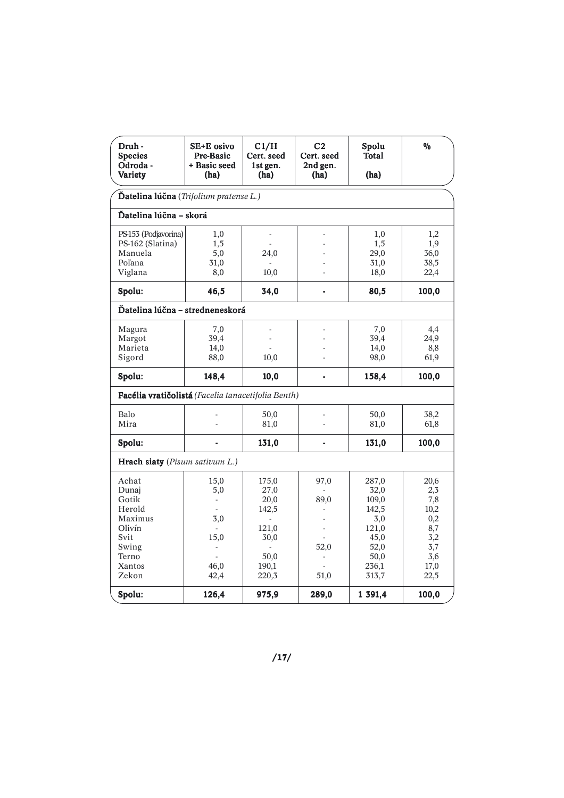| Druh -<br><b>Species</b><br>Odroda -<br>Variety    | SE+E osivo<br>Pre-Basic<br>+ Basic seed<br>(ha) | C1/H<br>Cert. seed<br>1st gen.<br>(ha) | C <sub>2</sub><br>Cert. seed<br>2nd gen.<br>(ha) | Spolu<br>Total<br>(ha) | $\frac{0}{0}$ |  |  |
|----------------------------------------------------|-------------------------------------------------|----------------------------------------|--------------------------------------------------|------------------------|---------------|--|--|
| Datelina lúčna (Trifolium pratense L.)             |                                                 |                                        |                                                  |                        |               |  |  |
|                                                    | Ďatelina lúčna - skorá                          |                                        |                                                  |                        |               |  |  |
| PS-153 (Podjavorina)                               | 1,0                                             | ä,                                     |                                                  | 1,0                    | 1,2           |  |  |
| PS-162 (Slatina)                                   | 1,5                                             |                                        |                                                  | 1,5                    | 1,9           |  |  |
| Manuela                                            | 5,0                                             | 24,0                                   |                                                  | 29,0                   | 36,0          |  |  |
| Poľana                                             | 31,0                                            |                                        |                                                  | 31,0                   | 38,5          |  |  |
| Viglana                                            | 8,0                                             | 10,0                                   |                                                  | 18,0                   | 22,4          |  |  |
| Spolu:                                             | 46,5                                            | 34,0                                   | $\overline{\phantom{0}}$                         | 80,5                   | 100,0         |  |  |
| Ďatelina lúčna - stredneneskorá                    |                                                 |                                        |                                                  |                        |               |  |  |
| Magura                                             | 7,0                                             |                                        |                                                  | 7,0                    | 4,4           |  |  |
| Margot                                             | 39,4                                            |                                        |                                                  | 39,4                   | 24,9          |  |  |
| Marieta                                            | 14,0                                            |                                        |                                                  | 14,0                   | 8,8           |  |  |
| Sigord                                             | 88,0                                            | 10,0                                   |                                                  | 98,0                   | 61,9          |  |  |
| Spolu:                                             | 148,4                                           | 10,0                                   | $\overline{a}$                                   | 158,4                  | 100,0         |  |  |
| Facélia vratičolistá (Facelia tanacetifolia Benth) |                                                 |                                        |                                                  |                        |               |  |  |
| Balo                                               |                                                 | 50,0                                   |                                                  | 50,0                   | 38,2          |  |  |
| Mira                                               | L                                               | 81,0                                   |                                                  | 81,0                   | 61,8          |  |  |
|                                                    |                                                 |                                        |                                                  |                        |               |  |  |
| Spolu:                                             | $\overline{a}$                                  | 131,0                                  | -                                                | 131,0                  | 100,0         |  |  |
| Hrach siaty (Pisum sativum L.)                     |                                                 |                                        |                                                  |                        |               |  |  |
| Achat                                              | 15,0                                            | 175,0                                  | 97,0                                             | 287,0                  | 20,6          |  |  |
| Dunaj                                              | 5,0                                             | 27,0                                   |                                                  | 32,0                   | 2,3           |  |  |
| Gotik                                              | $\overline{\phantom{a}}$                        | 20,0                                   | 89,0                                             | 109,0                  | 7,8           |  |  |
| Herold                                             |                                                 | 142,5                                  |                                                  | 142,5                  | 10,2          |  |  |
| Maximus                                            | 3,0                                             |                                        |                                                  | 3,0                    | 0,2           |  |  |
| Olivín                                             |                                                 | 121,0                                  |                                                  | 121,0                  | 8,7           |  |  |
| Svit                                               | 15,0                                            | 30,0                                   |                                                  | 45,0                   | 3,2           |  |  |
| Swing                                              | $\overline{\phantom{a}}$                        |                                        | 52,0                                             | 52,0                   | 3,7           |  |  |
| Terno                                              |                                                 | 50,0                                   |                                                  | 50,0                   | 3,6           |  |  |
| Xantos                                             | 46,0                                            | 190,1                                  |                                                  | 236,1                  | 17,0          |  |  |
| Zekon                                              | 42,4                                            | 220,3                                  | 51,0                                             | 313,7                  | 22,5          |  |  |
| Spolu:                                             | 126,4                                           | 975,9                                  | 289,0                                            | 1 391,4                | 100,0         |  |  |

/17/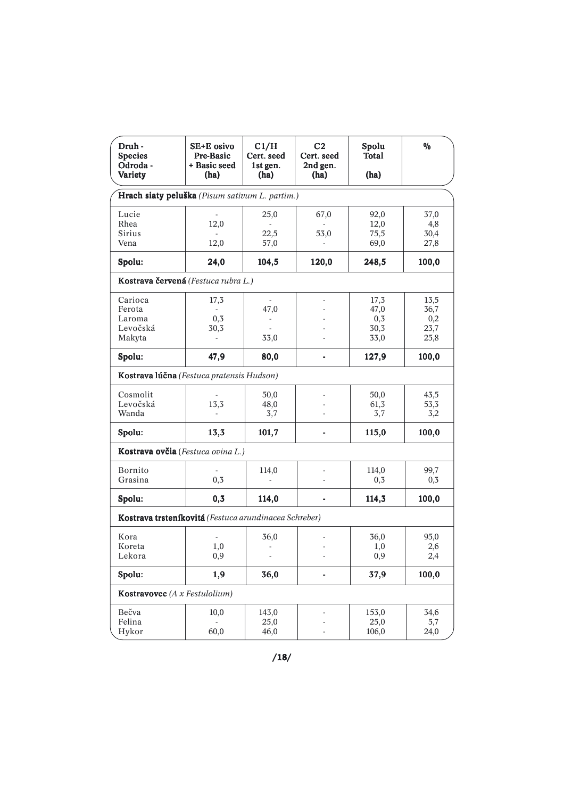| Druh -<br><b>Species</b><br>Odroda -<br>Variety       | SE+E osivo<br>Pre-Basic<br>+ Basic seed<br>(ha) | C1/H<br>Cert. seed<br>1st gen.<br>(ha) | C <sub>2</sub><br>Cert. seed<br>2nd gen.<br>(ha) | Spolu<br>Total<br>(ha)              | $\%$                                |  |  |  |
|-------------------------------------------------------|-------------------------------------------------|----------------------------------------|--------------------------------------------------|-------------------------------------|-------------------------------------|--|--|--|
|                                                       | Hrach siaty peluška (Pisum sativum L. partim.)  |                                        |                                                  |                                     |                                     |  |  |  |
| Lucie<br>Rhea<br><b>Sirius</b><br>Vena                | 12,0<br>12,0                                    | 25,0<br>22,5<br>57,0                   | 67,0<br>53,0                                     | 92,0<br>12,0<br>75,5<br>69,0        | 37,0<br>4,8<br>30,4<br>27,8         |  |  |  |
| Spolu:                                                | 24,0                                            | 104,5                                  | 120,0                                            | 248,5                               | 100,0                               |  |  |  |
| Kostrava červená (Festuca rubra L.)                   |                                                 |                                        |                                                  |                                     |                                     |  |  |  |
| Carioca<br>Ferota<br>Laroma<br>Levočská<br>Makyta     | 17,3<br>$\overline{\phantom{a}}$<br>0,3<br>30,3 | 47,0<br>33,0                           |                                                  | 17,3<br>47,0<br>0,3<br>30,3<br>33,0 | 13,5<br>36,7<br>0,2<br>23,7<br>25,8 |  |  |  |
| Spolu:                                                | 47,9                                            | 80,0                                   |                                                  | 127,9                               | 100,0                               |  |  |  |
| Kostrava lúčna (Festuca pratensis Hudson)             |                                                 |                                        |                                                  |                                     |                                     |  |  |  |
| Cosmolit<br>Levočská<br>Wanda                         | 13,3                                            | 50,0<br>48,0<br>3,7                    |                                                  | 50,0<br>61,3<br>3,7                 | 43,5<br>53,3<br>3,2                 |  |  |  |
| Spolu:                                                | 13,3                                            | 101,7                                  | $\overline{\phantom{a}}$                         | 115,0                               | 100,0                               |  |  |  |
| Kostrava ovčia (Festuca ovina L.)                     |                                                 |                                        |                                                  |                                     |                                     |  |  |  |
| Bornito<br>Grasina                                    | 0,3                                             | 114,0                                  |                                                  | 114,0<br>0,3                        | 99,7<br>0,3                         |  |  |  |
| Spolu:                                                | 0,3                                             | 114,0                                  |                                                  | 114,3                               | 100,0                               |  |  |  |
| Kostrava trsteníkovitá (Festuca arundinacea Schreber) |                                                 |                                        |                                                  |                                     |                                     |  |  |  |
| Kora<br>Koreta<br>Lekora                              | 1,0<br>0,9                                      | 36,0                                   |                                                  | 36,0<br>1,0<br>0,9                  | 95,0<br>2,6<br>2,4                  |  |  |  |
| Spolu:                                                | 1,9                                             | 36,0                                   | $\overline{\phantom{a}}$                         | 37,9                                | 100,0                               |  |  |  |
| Kostravovec (A x Festulolium)                         |                                                 |                                        |                                                  |                                     |                                     |  |  |  |
| Bečva<br>Felina<br>Hykor                              | 10,0<br>$\mathcal{L}^{\mathcal{A}}$<br>60,0     | 143,0<br>25,0<br>46,0                  |                                                  | 153,0<br>25,0<br>106,0              | 34,6<br>5,7<br>24,0                 |  |  |  |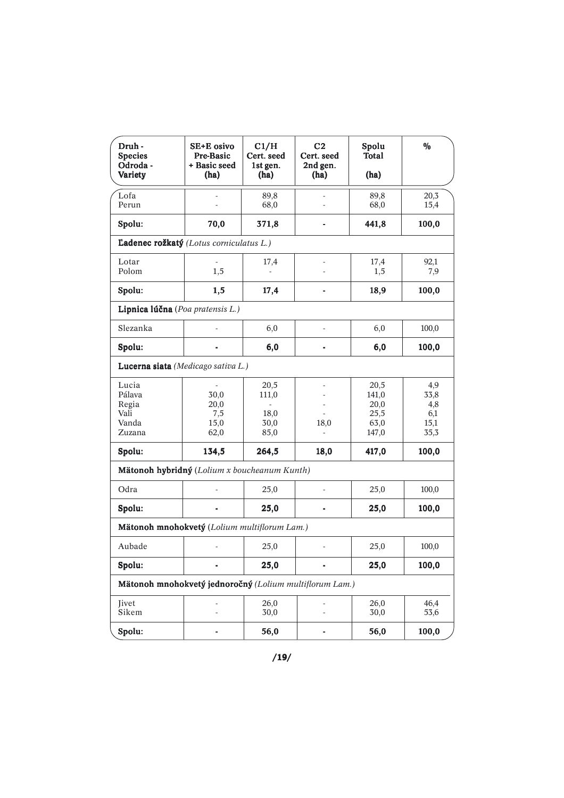| Druh -<br><b>Species</b><br>Odroda -<br>Variety         | SE+E osivo<br><b>Pre-Basic</b><br>+ Basic seed<br>(ha) | C1/H<br>Cert. seed<br>1st gen.<br>(ha) | C <sub>2</sub><br>Cert. seed<br>2nd gen.<br>(ha) | Spolu<br><b>Total</b><br>(ha)                  | $\frac{0}{0}$                             |
|---------------------------------------------------------|--------------------------------------------------------|----------------------------------------|--------------------------------------------------|------------------------------------------------|-------------------------------------------|
| Lofa<br>Perun                                           |                                                        | 89,8<br>68,0                           |                                                  | 89,8<br>68,0                                   | 20,3<br>15,4                              |
| Spolu:                                                  | 70,0                                                   | 371,8                                  |                                                  | 441,8                                          | 100,0                                     |
| Ladenec rožkatý (Lotus corniculatus L.)                 |                                                        |                                        |                                                  |                                                |                                           |
| Lotar<br>Polom                                          | 1,5                                                    | 17,4                                   |                                                  | 17,4<br>1,5                                    | 92,1<br>7,9                               |
| Spolu:                                                  | 1,5                                                    | 17,4                                   |                                                  | 18,9                                           | 100,0                                     |
| Lipnica lúčna (Poa pratensis L.)                        |                                                        |                                        |                                                  |                                                |                                           |
| Slezanka                                                |                                                        | 6,0                                    |                                                  | 6,0                                            | 100,0                                     |
| Spolu:                                                  |                                                        | 6,0                                    |                                                  | 6,0                                            | 100,0                                     |
| Lucerna siata (Medicago sativa L.)                      |                                                        |                                        |                                                  |                                                |                                           |
| Lucia<br>Pálava<br>Regia<br>Vali<br>Vanda<br>Zuzana     | 30,0<br>20,0<br>7,5<br>15,0<br>62,0                    | 20,5<br>111,0<br>18,0<br>30,0<br>85,0  | 18,0<br>÷.                                       | 20,5<br>141,0<br>20,0<br>25,5<br>63,0<br>147,0 | 4,9<br>33,8<br>4,8<br>6,1<br>15,1<br>35,3 |
| Spolu:                                                  | 134,5                                                  | 264,5                                  | 18,0                                             | 417,0                                          | 100,0                                     |
| Mätonoh hybridný (Lolium x boucheanum Kunth)            |                                                        |                                        |                                                  |                                                |                                           |
| Odra                                                    |                                                        | 25,0                                   | ÷,                                               | 25,0                                           | 100,0                                     |
| Spolu:                                                  |                                                        | 25,0                                   |                                                  | 25,0                                           | 100,0                                     |
| Mätonoh mnohokvetý (Lolium multiflorum Lam.)            |                                                        |                                        |                                                  |                                                |                                           |
| Aubade                                                  |                                                        | 25,0                                   |                                                  | 25,0                                           | 100,0                                     |
| Spolu:                                                  |                                                        | 25,0                                   |                                                  | 25,0                                           | 100,0                                     |
| Mätonoh mnohokvetý jednoročný (Lolium multiflorum Lam.) |                                                        |                                        |                                                  |                                                |                                           |
| <b>Jivet</b><br>Sikem                                   | Ĭ.<br>L,                                               | 26,0<br>30,0                           | ÷,                                               | 26,0<br>30,0                                   | 46,4<br>53,6                              |
| Spolu:                                                  | -                                                      | 56,0                                   | -                                                | 56,0                                           | 100,0                                     |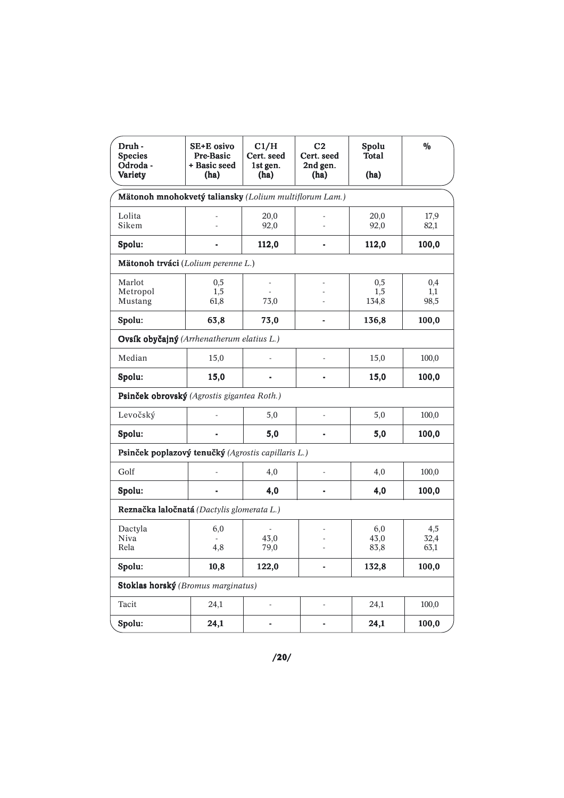| Druh -<br><b>Species</b><br>Odroda -<br>Variety        | SE+E osivo<br>Pre-Basic<br>+ Basic seed<br>(ha) | C1/H<br>Cert. seed<br>1st gen.<br>(ha) | C <sub>2</sub><br>Cert. seed<br>2nd gen.<br>(ha) | Spolu<br>Total<br>(ha) | $\%$                |  |  |
|--------------------------------------------------------|-------------------------------------------------|----------------------------------------|--------------------------------------------------|------------------------|---------------------|--|--|
| Mätonoh mnohokvetý taliansky (Lolium multiflorum Lam.) |                                                 |                                        |                                                  |                        |                     |  |  |
| Lolita<br>Sikem                                        |                                                 | 20,0<br>92,0                           |                                                  | 20,0<br>92,0           | 17,9<br>82,1        |  |  |
| Spolu:                                                 |                                                 | 112,0                                  |                                                  | 112,0                  | 100,0               |  |  |
| Mätonoh trváci (Lolium perenne L.)                     |                                                 |                                        |                                                  |                        |                     |  |  |
| Marlot<br>Metropol<br>Mustang                          | 0,5<br>1,5<br>61,8                              | 73,0                                   |                                                  | 0,5<br>1,5<br>134,8    | 0,4<br>1,1<br>98,5  |  |  |
| Spolu:                                                 | 63,8                                            | 73,0                                   |                                                  | 136,8                  | 100,0               |  |  |
| Ovsík obyčajný (Arrhenatherum elatius L.)              |                                                 |                                        |                                                  |                        |                     |  |  |
| Median                                                 | 15,0                                            |                                        |                                                  | 15,0                   | 100,0               |  |  |
| Spolu:                                                 | 15,0                                            |                                        |                                                  | 15,0                   | 100,0               |  |  |
| Psinček obrovský (Agrostis gigantea Roth.)             |                                                 |                                        |                                                  |                        |                     |  |  |
| Levočský                                               |                                                 | 5,0                                    |                                                  | 5,0                    | 100,0               |  |  |
| Spolu:                                                 |                                                 | 5,0                                    |                                                  | 5,0                    | 100,0               |  |  |
| Psinček poplazový tenučký (Agrostis capillaris L.)     |                                                 |                                        |                                                  |                        |                     |  |  |
| Golf                                                   |                                                 | 4,0                                    |                                                  | 4,0                    | 100,0               |  |  |
| Spolu:                                                 |                                                 | 4,0                                    |                                                  | 4,0                    | 100,0               |  |  |
| Reznačka laločnatá (Dactylis glomerata L.)             |                                                 |                                        |                                                  |                        |                     |  |  |
| Dactyla<br>Niva<br>Rela                                | 6,0<br>4,8                                      | 43,0<br>79,0                           |                                                  | 6,0<br>43,0<br>83,8    | 4,5<br>32,4<br>63,1 |  |  |
| Spolu:                                                 | 10,8                                            | 122,0                                  |                                                  | 132,8                  | 100,0               |  |  |
| Stoklas horský (Bromus marginatus)                     |                                                 |                                        |                                                  |                        |                     |  |  |
| Tacit                                                  | 24,1                                            | $\overline{a}$                         |                                                  | 24,1                   | 100,0               |  |  |
| Spolu:                                                 | 24,1                                            |                                        |                                                  | 24,1                   | 100,0               |  |  |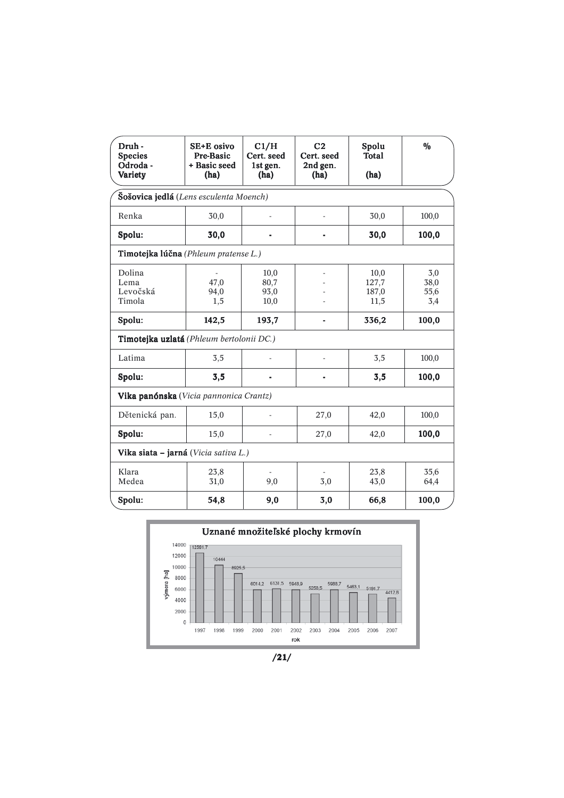| Druh -<br><b>Species</b><br>Odroda -<br>Variety | SE+E osivo<br>Pre-Basic<br>+ Basic seed<br>(ha) | C1/H<br>Cert. seed<br>1st gen.<br>(ha) | C <sub>2</sub><br>Cert. seed<br>2nd gen.<br>(ha) | Spolu<br>Total<br>(ha)         | $\frac{0}{0}$              |  |  |
|-------------------------------------------------|-------------------------------------------------|----------------------------------------|--------------------------------------------------|--------------------------------|----------------------------|--|--|
| Šošovica jedlá (Lens esculenta Moench)          |                                                 |                                        |                                                  |                                |                            |  |  |
| Renka                                           | 30,0                                            |                                        | L                                                | 30,0                           | 100,0                      |  |  |
| Spolu:                                          | 30,0                                            |                                        |                                                  | 30,0                           | 100,0                      |  |  |
| Timotejka lúčna (Phleum pratense L.)            |                                                 |                                        |                                                  |                                |                            |  |  |
| Dolina<br>Lema<br>Levočská<br>Timola            | 47,0<br>94,0<br>1,5                             | 10,0<br>80,7<br>93,0<br>10,0           |                                                  | 10,0<br>127,7<br>187,0<br>11,5 | 3,0<br>38,0<br>55,6<br>3,4 |  |  |
| Spolu:                                          | 142,5                                           | 193,7                                  |                                                  | 336,2                          | 100,0                      |  |  |
| Timotejka uzlatá (Phleum bertolonii DC.)        |                                                 |                                        |                                                  |                                |                            |  |  |
| Latima                                          | 3,5                                             |                                        | L,                                               | 3,5                            | 100,0                      |  |  |
| Spolu:                                          | 3,5                                             |                                        | $\blacksquare$                                   | 3,5                            | 100,0                      |  |  |
| Vika panónska (Vicia pannonica Crantz)          |                                                 |                                        |                                                  |                                |                            |  |  |
| Dětenická pan.                                  | 15,0                                            |                                        | 27,0                                             | 42,0                           | 100,0                      |  |  |
| Spolu:                                          | 15,0                                            |                                        | 27,0                                             | 42,0                           | 100,0                      |  |  |
|                                                 | Vika siata - jarná (Vicia sativa L.)            |                                        |                                                  |                                |                            |  |  |
| Klara<br>Medea                                  | 23,8<br>31,0                                    | 9,0                                    | 3,0                                              | 23,8<br>43,0                   | 35,6<br>64,4               |  |  |
| Spolu:                                          | 54,8                                            | 9,0                                    | 3,0                                              | 66,8                           | 100,0                      |  |  |



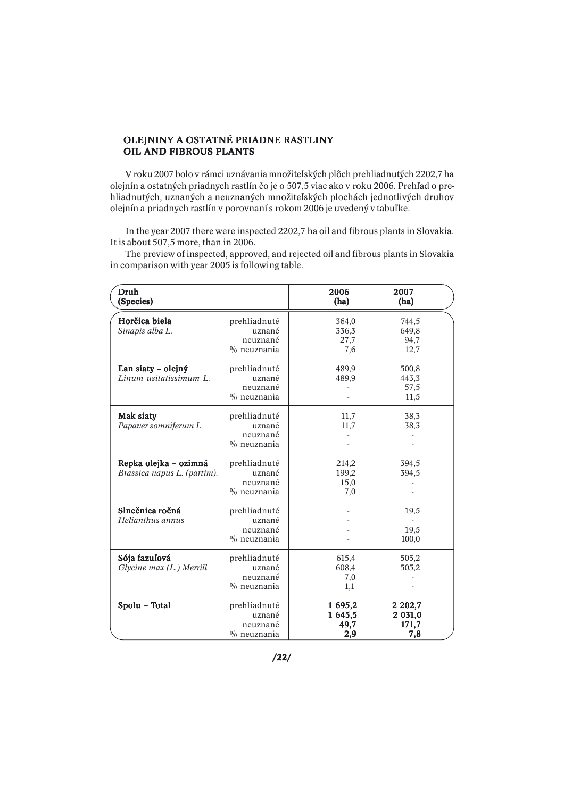## OLEJNINY A OSTATNÉ PRIADNE RASTLINY OIL AND FIBROUS PLANTS

 V roku 2007 bolo v rámci uznávania množiteľských plôch prehliadnutých 2202,7 ha olejnín a ostatných priadnych rastlín čo je o 507,5 viac ako v roku 2006. Prehľad o prehliadnutých, uznaných a neuznaných množiteľských plochách jednotlivých druhov olejnín a priadnych rastlín v porovnaní s rokom 2006 je uvedený v tabuľke.

 In the year 2007 there were inspected 2202,7 ha oil and fibrous plants in Slovakia. It is about 507,5 more, than in 2006.

| Druh<br>(Species)                                    |                                                      | 2006<br>(ha)                      | 2007<br>(ha)                         |
|------------------------------------------------------|------------------------------------------------------|-----------------------------------|--------------------------------------|
| Horčica biela<br>Sinapis alba L.                     | prehliadnuté<br>uznané<br>neuznané<br>$\%$ neuznania | 364,0<br>336,3<br>27,7<br>7,6     | 744,5<br>649,8<br>94,7<br>12,7       |
| Lan siaty – olejný<br>Linum usitatissimum L.         | prehliadnuté<br>uznané<br>neuznané<br>$\%$ neuznania | 489,9<br>489,9                    | 500,8<br>443,3<br>57,5<br>11,5       |
| Mak siaty<br>Papaver somniferum L.                   | prehliadnuté<br>uznané<br>neuznané<br>$\%$ neuznania | 11,7<br>11,7                      | 38,3<br>38,3                         |
| Repka olejka - ozimná<br>Brassica napus L. (partim). | prehliadnuté<br>uznané<br>neuznané<br>$\%$ neuznania | 214,2<br>199,2<br>15,0<br>7,0     | 394,5<br>394,5                       |
| Slnečnica ročná<br>Helianthus annus                  | prehliadnuté<br>uznané<br>neuznané<br>$\%$ neuznania |                                   | 19,5<br>19,5<br>100,0                |
| Sója fazuľová<br>Glycine max (L.) Merrill            | prehliadnuté<br>uznané<br>neuznané<br>$\%$ neuznania | 615,4<br>608,4<br>7,0<br>1,1      | 505,2<br>505,2                       |
| Spolu - Total                                        | prehliadnuté<br>uznané<br>neuznané<br>$\%$ neuznania | 1 695,2<br>1 645,5<br>49,7<br>2,9 | 2 2 0 2,7<br>2 031,0<br>171,7<br>7,8 |

 The preview of inspected, approved, and rejected oil and fibrous plants in Slovakia in comparison with year 2005 is following table.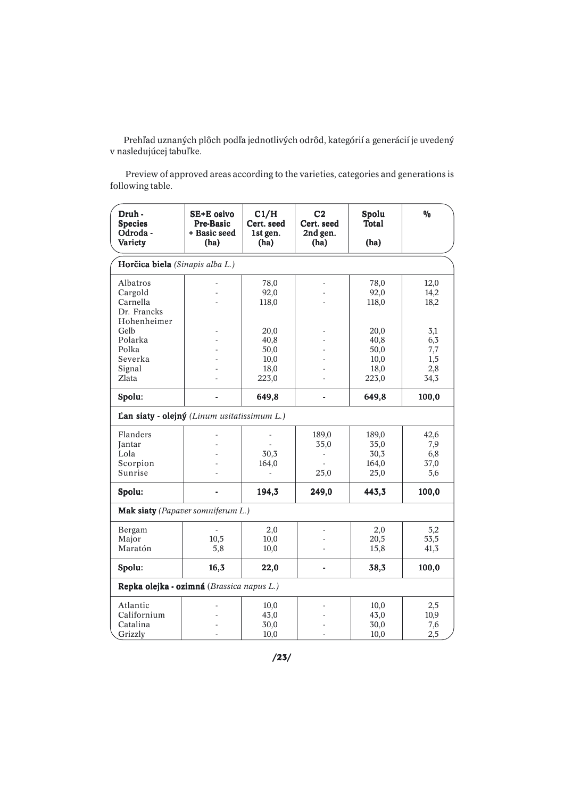Prehľad uznaných plôch podľa jednotlivých odrôd, kategórií a generácií je uvedený v nasledujúcej tabuľke.

 Preview of approved areas according to the varieties, categories and generations is following table.

| Druh -<br><b>Species</b><br>Odroda -<br>Variety | SE+E osivo<br><b>Pre-Basic</b><br>+ Basic seed<br>(ha) | C1/H<br>Cert. seed<br>1st gen.<br>(ha) | C <sub>2</sub><br>Cert. seed<br>2nd gen.<br>(ha) | Spolu<br><b>Total</b><br>(ha) | $\frac{0}{0}$ |
|-------------------------------------------------|--------------------------------------------------------|----------------------------------------|--------------------------------------------------|-------------------------------|---------------|
|                                                 |                                                        |                                        |                                                  |                               |               |
| Horčica biela (Sinapis alba L.)                 |                                                        |                                        |                                                  |                               |               |
| Albatros                                        |                                                        | 78,0                                   |                                                  | 78,0                          | 12,0          |
| Cargold                                         |                                                        | 92,0                                   |                                                  | 92,0                          | 14,2          |
| Carnella                                        |                                                        | 118,0                                  |                                                  | 118,0                         | 18,2          |
| Dr. Francks                                     |                                                        |                                        |                                                  |                               |               |
| Hohenheimer<br>Gelb                             |                                                        |                                        |                                                  |                               |               |
| Polarka                                         |                                                        | 20,0<br>40,8                           |                                                  | 20,0<br>40,8                  | 3,1<br>6,3    |
| Polka                                           |                                                        | 50,0                                   |                                                  | 50,0                          | 7,7           |
| Severka                                         |                                                        | 10,0                                   |                                                  | 10,0                          | 1,5           |
| Signal                                          |                                                        | 18,0                                   |                                                  | 18,0                          | 2,8           |
| Zlata                                           |                                                        | 223,0                                  |                                                  | 223,0                         | 34,3          |
| Spolu:                                          |                                                        | 649,8                                  |                                                  | 649,8                         | 100,0         |
|                                                 |                                                        |                                        |                                                  |                               |               |
| Lan siaty - olejný (Linum usitatissimum L.)     |                                                        |                                        |                                                  |                               |               |
| Flanders                                        |                                                        |                                        | 189,0                                            | 189,0                         | 42,6          |
| <b>Jantar</b>                                   |                                                        |                                        | 35,0                                             | 35,0                          | 7,9           |
| Lola                                            |                                                        | 30,3                                   | $\overline{\phantom{a}}$                         | 30,3                          | 6,8           |
| Scorpion                                        |                                                        | 164,0                                  |                                                  | 164,0                         | 37,0          |
| Sunrise                                         |                                                        | ÷,                                     | 25,0                                             | 25,0                          | 5,6           |
| Spolu:                                          |                                                        | 194,3                                  | 249,0                                            | 443,3                         | 100,0         |
| Mak siaty (Papaver somniferum L.)               |                                                        |                                        |                                                  |                               |               |
| Bergam                                          |                                                        | 2,0                                    |                                                  | 2,0                           | 5,2           |
| Major                                           | 10,5                                                   | 10,0                                   |                                                  | 20,5                          | 53,5          |
| Maratón                                         | 5,8                                                    | 10,0                                   |                                                  | 15,8                          | 41,3          |
| Spolu:                                          | 16,3                                                   | 22,0                                   | ä,                                               | 38,3                          | 100,0         |
| Repka olejka - ozimná (Brassica napus L.)       |                                                        |                                        |                                                  |                               |               |
| Atlantic                                        |                                                        | 10,0                                   |                                                  | 10,0                          | 2,5           |
| Californium                                     |                                                        | 43,0                                   |                                                  | 43,0                          | 10,9          |
| Catalina                                        |                                                        | 30,0                                   |                                                  | 30,0                          | 7,6           |
| Grizzly                                         |                                                        | 10,0                                   |                                                  | 10,0                          | 2,5           |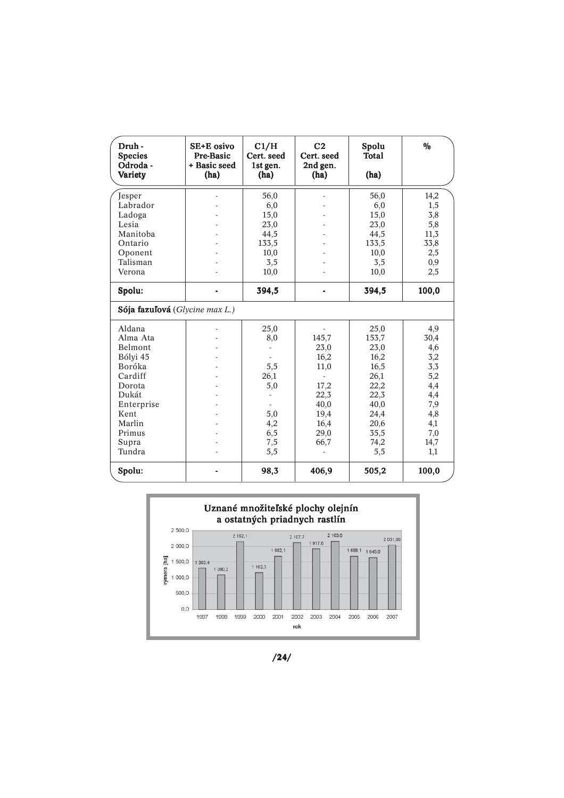| Druh -<br><b>Species</b><br>Odroda -<br>Variety | SE+E osivo<br>Pre-Basic<br>+ Basic seed<br>(ha) | C1/H<br>Cert. seed<br>1st gen.<br>(ha) | C <sub>2</sub><br>Cert. seed<br>2nd gen.<br>(ha) | Spolu<br>Total<br>(ha) | $\frac{0}{0}$ |
|-------------------------------------------------|-------------------------------------------------|----------------------------------------|--------------------------------------------------|------------------------|---------------|
| Jesper                                          |                                                 | 56,0                                   |                                                  | 56,0                   | 14,2          |
| Labrador                                        |                                                 | 6,0                                    |                                                  | 6,0                    | 1,5           |
| Ladoga                                          |                                                 | 15,0                                   |                                                  | 15,0                   | 3,8           |
| Lesia                                           |                                                 | 23,0                                   |                                                  | 23,0                   | 5,8           |
| Manitoba                                        |                                                 | 44,5                                   |                                                  | 44,5                   | 11,3          |
| Ontario                                         |                                                 | 133,5                                  |                                                  | 133,5                  | 33,8          |
| Oponent                                         |                                                 | 10,0                                   |                                                  | 10,0                   | 2,5           |
| Talisman                                        |                                                 | 3,5                                    |                                                  | 3,5                    | 0,9           |
| Verona                                          |                                                 | 10,0                                   |                                                  | 10,0                   | 2,5           |
| Spolu:                                          |                                                 | 394,5                                  |                                                  | 394,5                  | 100,0         |
| Sója fazuľová (Glycine max L.)                  |                                                 |                                        |                                                  |                        |               |
| Aldana                                          |                                                 | 25,0                                   |                                                  | 25,0                   | 4,9           |
| Alma Ata                                        |                                                 | 8,0                                    | 145,7                                            | 153,7                  | 30,4          |
| Belmont                                         |                                                 | $\overline{\phantom{a}}$               | 23,0                                             | 23,0                   | 4,6           |
| Bólyi 45                                        |                                                 |                                        | 16,2                                             | 16,2                   | 3,2           |
| Boróka                                          |                                                 | 5,5                                    | 11,0                                             | 16,5                   | 3,3           |
| Cardiff                                         |                                                 | 26,1                                   | L.                                               | 26,1                   | 5,2           |
| Dorota                                          |                                                 | 5,0                                    | 17,2                                             | 22,2                   | 4,4           |
| Dukát                                           |                                                 |                                        | 22,3                                             | 22,3                   | 4,4           |
| Enterprise                                      |                                                 |                                        | 40,0                                             | 40,0                   | 7,9           |
| Kent                                            |                                                 | 5,0                                    | 19,4                                             | 24,4                   | 4,8           |
| Marlin                                          |                                                 | 4,2                                    | 16,4                                             | 20,6                   | 4,1           |
| Primus                                          |                                                 | 6,5                                    | 29,0                                             | 35,5                   | 7,0           |
| Supra                                           |                                                 | 7,5                                    | 66,7                                             | 74,2                   | 14,7          |
| Tundra                                          |                                                 | 5,5                                    |                                                  | 5,5                    | 1,1           |
| Spolu:                                          |                                                 | 98,3                                   | 406,9                                            | 505,2                  | 100,0         |



/24/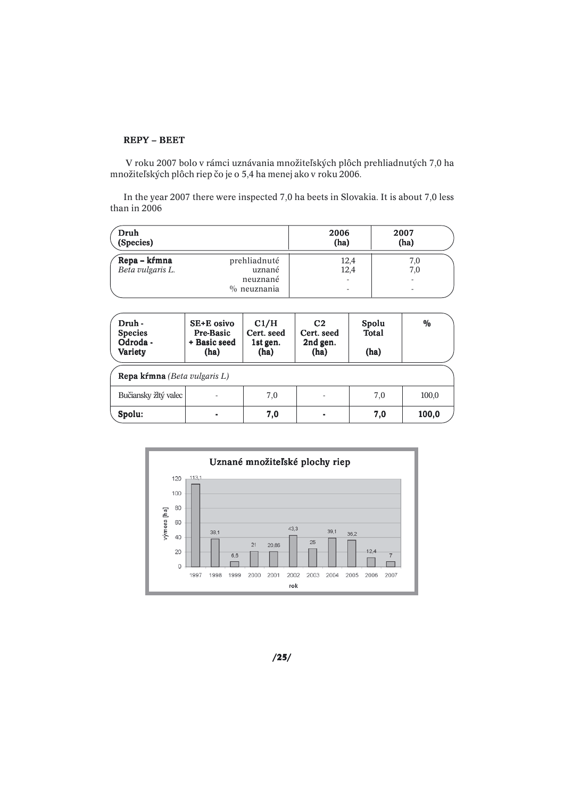## REPY – BEET

 V roku 2007 bolo v rámci uznávania množiteľských plôch prehliadnutých 7,0 ha množiteľských plôch riep čo je o 5,4 ha menej ako v roku 2006.

In the year 2007 there were inspected 7,0 ha beets in Slovakia. It is about 7,0 less than in 2006

| Druh<br>(Species) |                | 2006<br>(ha) | 2007<br>(ha) |
|-------------------|----------------|--------------|--------------|
| Repa – kŕmna      | prehliadnuté   | 12,4         | 7,0          |
| Beta vulgaris L.  | uznané         | 12,4         | 7,0          |
|                   | neuznané       | ۰            | ۰.           |
|                   | $\%$ neuznania |              | ۰            |

| Druh -<br><b>Species</b><br>Odroda -<br>Variety | SE+E osivo<br>Pre-Basic<br>+ Basic seed<br>(ha) | C1/H<br>Cert. seed<br>1st gen.<br>(ha) | C <sub>2</sub><br>Cert. seed<br>2nd gen.<br>(ha) | Spolu<br><b>Total</b><br>(ha) | $\frac{0}{0}$ |  |
|-------------------------------------------------|-------------------------------------------------|----------------------------------------|--------------------------------------------------|-------------------------------|---------------|--|
| <b>Repa kŕmna</b> (Beta vulgaris L)             |                                                 |                                        |                                                  |                               |               |  |
| Bučiansky žltý valec                            |                                                 | 7,0                                    | $\overline{\phantom{0}}$                         | 7,0                           | 100,0         |  |
| Spolu:                                          | -                                               | 7,0                                    | ۰                                                | 7,0                           | 100,0         |  |



/25/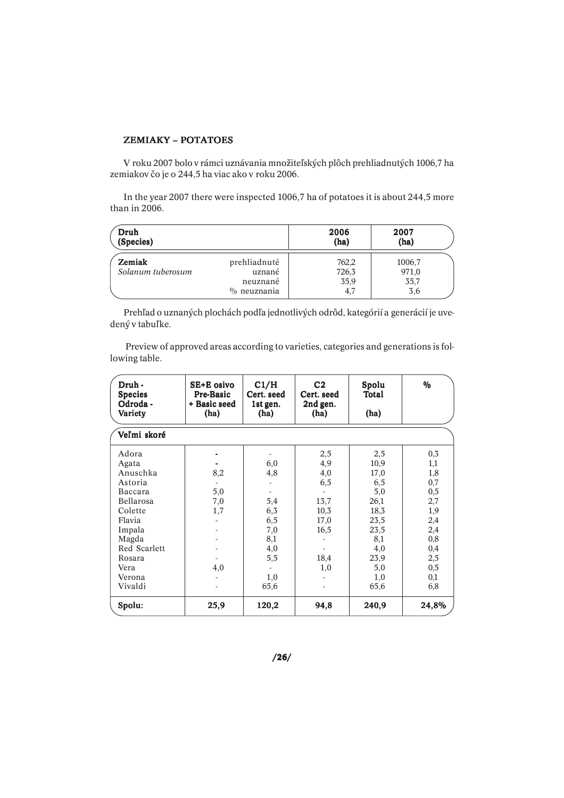# ZEMIAKY – POTATOES

V roku 2007 bolo v rámci uznávania množiteľských plôch prehliadnutých 1006,7 ha zemiakov čo je o 244,5 ha viac ako v roku 2006.

In the year 2007 there were inspected 1006,7 ha of potatoes it is about 244,5 more than in 2006.

| Druh<br>(Species) |                | 2006<br>(ha) | 2007<br>(ha) |
|-------------------|----------------|--------------|--------------|
| Zemiak            | prehliadnuté   | 762,2        | 1006,7       |
| Solanum tuberosum | uznané         | 726,3        | 971,0        |
|                   | neuznané       | 35,9         | 35,7         |
|                   | $\%$ neuznania | 4,7          | 3,6          |

Prehľad o uznaných plochách podľa jednotlivých odrôd, kategórií a generácií je uvedený v tabuľke.

 Preview of approved areas according to varieties, categories and generations is following table.

| Druh -<br><b>Species</b><br>Odroda -<br>Variety | SE+E osivo<br>Pre-Basic<br>+ Basic seed<br>(ha) | C1/H<br>Cert. seed<br>1st gen.<br>(ha) | C <sub>2</sub><br>Cert. seed<br>2nd gen.<br>(ha) | Spolu<br>Total<br>(ha) | $\frac{0}{0}$ |
|-------------------------------------------------|-------------------------------------------------|----------------------------------------|--------------------------------------------------|------------------------|---------------|
| Veľmi skoré                                     |                                                 |                                        |                                                  |                        |               |
| Adora                                           |                                                 |                                        | 2,5                                              | 2,5                    | 0,3           |
| Agata                                           |                                                 | 6,0                                    | 4,9                                              | 10,9                   | 1,1           |
| Anuschka                                        | 8,2                                             | 4,8                                    | 4,0                                              | 17,0                   | 1,8           |
| Astoria                                         |                                                 |                                        | 6,5                                              | 6,5                    | 0,7           |
| Baccara                                         | 5,0                                             |                                        |                                                  | 5,0                    | 0,5           |
| Bellarosa                                       | 7,0                                             | 5,4                                    | 13,7                                             | 26,1                   | 2,7           |
| Colette                                         | 1,7                                             | 6,3                                    | 10,3                                             | 18,3                   | 1,9           |
| Flavia                                          |                                                 | 6,5                                    | 17,0                                             | 23,5                   | 2,4           |
| Impala                                          |                                                 | 7,0                                    | 16,5                                             | 23,5                   | 2,4           |
| Magda                                           |                                                 | 8,1                                    |                                                  | 8,1                    | 0,8           |
| Red Scarlett                                    |                                                 | 4,0                                    |                                                  | 4,0                    | 0,4           |
| Rosara                                          |                                                 | 5,5                                    | 18,4                                             | 23,9                   | 2,5           |
| Vera                                            | 4,0                                             |                                        | 1,0                                              | 5,0                    | 0,5           |
| Verona                                          |                                                 | 1,0                                    |                                                  | 1,0                    | 0,1           |
| Vivaldi                                         |                                                 | 65,6                                   |                                                  | 65,6                   | 6,8           |
| Spolu:                                          | 25,9                                            | 120,2                                  | 94,8                                             | 240,9                  | 24,8%         |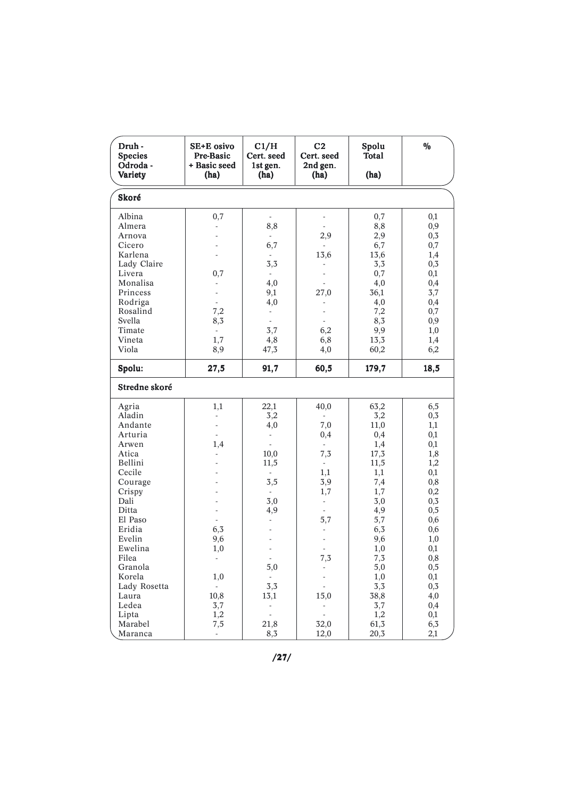| Druh-<br><b>Species</b><br>Odroda -<br>Variety                                                                                                                                                             | SE+E osivo<br>Pre-Basic<br>+ Basic seed<br>(ha)                                                                                                 | C1/H<br>Cert. seed<br>1st gen.<br>(ha)                                                                                                    | C <sub>2</sub><br>Cert. seed<br>2nd gen.<br>(ha)                                                   | Spolu<br><b>Total</b><br>(ha)                                                                                                                | $\%$                                                                                                                                           |
|------------------------------------------------------------------------------------------------------------------------------------------------------------------------------------------------------------|-------------------------------------------------------------------------------------------------------------------------------------------------|-------------------------------------------------------------------------------------------------------------------------------------------|----------------------------------------------------------------------------------------------------|----------------------------------------------------------------------------------------------------------------------------------------------|------------------------------------------------------------------------------------------------------------------------------------------------|
| Skoré                                                                                                                                                                                                      |                                                                                                                                                 |                                                                                                                                           |                                                                                                    |                                                                                                                                              |                                                                                                                                                |
| Albina<br>Almera<br>Arnova<br>Cicero<br>Karlena<br>Lady Claire<br>Livera<br>Monalisa<br>Princess<br>Rodriga<br>Rosalind<br>Svella<br>Timate<br>Vineta                                                      | 0,7<br>$\Box$<br>0,7<br>$\overline{\phantom{a}}$<br>÷,<br>÷,<br>7,2<br>8,3<br>$\mathbb{Z}^{\mathbb{Z}}$<br>1,7                                  | $\frac{1}{2}$<br>8,8<br>÷.<br>6,7<br>3,3<br>$\overline{\phantom{a}}$<br>4,0<br>9,1<br>4,0<br>$\overline{\phantom{a}}$<br>÷.<br>3,7<br>4,8 | 2,9<br>13,6<br>27,0<br>6,2<br>6,8                                                                  | 0,7<br>8,8<br>2,9<br>6,7<br>13,6<br>3,3<br>0,7<br>4,0<br>36,1<br>4,0<br>7,2<br>8,3<br>9,9<br>13,3                                            | 0,1<br>0,9<br>0,3<br>0,7<br>1,4<br>0,3<br>0,1<br>0,4<br>3,7<br>0,4<br>0,7<br>0,9<br>1,0<br>1,4                                                 |
| Viola<br>Spolu:                                                                                                                                                                                            | 8,9<br>27,5                                                                                                                                     | 47,3<br>91,7                                                                                                                              | 4,0<br>60,5                                                                                        | 60,2<br>179,7                                                                                                                                | 6,2<br>18,5                                                                                                                                    |
| Stredne skoré                                                                                                                                                                                              |                                                                                                                                                 |                                                                                                                                           |                                                                                                    |                                                                                                                                              |                                                                                                                                                |
| Agria<br>Aladin<br>Andante<br>Arturia<br>Arwen<br>Atica<br>Bellini<br>Cecile<br>Courage<br>Crispy<br>Dali<br>Ditta<br>El Paso<br>Eridia<br>Evelin<br>Ewelina<br>Filea<br>Granola<br>Korela<br>Lady Rosetta | 1,1<br>$\overline{\phantom{a}}$<br>÷,<br>$\overline{\phantom{a}}$<br>1,4<br>$\frac{1}{2}$<br>÷,<br>6,3<br>9,6<br>1,0<br>1,0<br>$\omega_{\rm c}$ | 22,1<br>3,2<br>4,0<br>$\overline{\phantom{a}}$<br>÷.<br>10,0<br>11,5<br>3,5<br>3,0<br>4,9<br>÷.<br>5,0<br>$\sim$<br>3,3                   | 40,0<br>7,0<br>0,4<br>7,3<br>$\sim$<br>1,1<br>3,9<br>1,7<br>$\overline{\phantom{a}}$<br>5,7<br>7,3 | 63,2<br>3,2<br>11,0<br>0,4<br>1,4<br>17,3<br>11,5<br>1,1<br>7,4<br>1,7<br>3,0<br>4,9<br>5,7<br>6,3<br>9,6<br>1,0<br>7,3<br>5,0<br>1,0<br>3,3 | 6,5<br>0,3<br>1,1<br>0,1<br>0,1<br>1,8<br>1,2<br>0,1<br>0,8<br>0,2<br>0,3<br>0,5<br>0,6<br>0,6<br>1,0<br>0,1<br>$\rm 0.8$<br>0,5<br>0,1<br>0,3 |
| Laura<br>Ledea<br>Lipta<br>Marabel<br>Maranca                                                                                                                                                              | 10,8<br>3,7<br>1,2<br>7,5<br>$\mathcal{L}^{\pm}$                                                                                                | 13,1<br>$\overline{\phantom{a}}$<br>$\mathbb{L}$<br>21,8<br>8,3                                                                           | 15,0<br>$\overline{\phantom{a}}$<br>$\overline{\phantom{a}}$<br>32,0<br>12,0                       | 38,8<br>3,7<br>1,2<br>61,3<br>20,3                                                                                                           | 4,0<br>0,4<br>0,1<br>6,3<br>2,1                                                                                                                |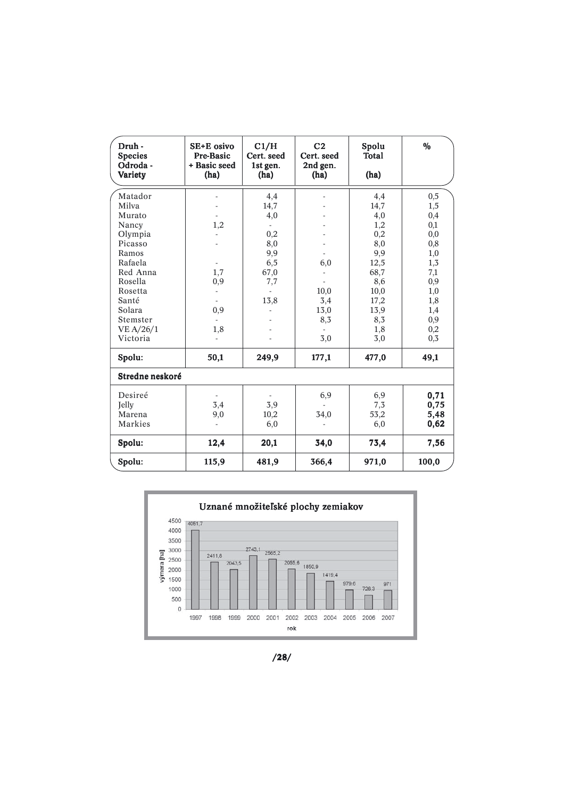| Druh -<br><b>Species</b><br>Odroda -<br>Variety | SE+E osivo<br>Pre-Basic<br>+ Basic seed<br>(ha) | C1/H<br>Cert. seed<br>1st gen.<br>(ha) | C <sub>2</sub><br>Cert. seed<br>2nd gen.<br>(ha) | Spolu<br><b>Total</b><br>(ha) | $\frac{0}{0}$ |
|-------------------------------------------------|-------------------------------------------------|----------------------------------------|--------------------------------------------------|-------------------------------|---------------|
| Matador                                         |                                                 | 4,4                                    |                                                  | 4,4                           | 0,5           |
| Milva                                           |                                                 | 14,7                                   |                                                  | 14,7                          | 1,5           |
| Murato                                          |                                                 | 4,0                                    |                                                  | 4,0                           | 0,4           |
| Nancy                                           | 1,2                                             |                                        |                                                  | 1,2                           | 0,1           |
| Olympia                                         |                                                 | 0,2                                    |                                                  | 0,2                           | 0,0           |
| Picasso                                         |                                                 | 8,0                                    |                                                  | 8,0                           | 0,8           |
| Ramos                                           |                                                 | 9,9                                    | $\overline{\phantom{0}}$                         | 9,9                           | 1,0           |
| Rafaela                                         | $\overline{\phantom{a}}$                        | 6,5                                    | 6,0                                              | 12,5                          | 1,3           |
| Red Anna                                        | 1,7                                             | 67,0                                   |                                                  | 68,7                          | 7,1           |
| Rosella                                         | 0,9                                             | 7,7                                    |                                                  | 8,6                           | 0,9           |
| Rosetta                                         |                                                 |                                        | 10,0                                             | 10,0                          | 1,0           |
| Santé                                           |                                                 | 13,8                                   | 3,4                                              | 17,2                          | 1,8           |
| Solara                                          | 0,9                                             |                                        | 13,0                                             | 13,9                          | 1,4           |
| Stemster                                        |                                                 |                                        | 8,3                                              | 8,3                           | 0,9           |
| VE A/26/1                                       | 1,8                                             |                                        |                                                  | 1,8                           | 0,2           |
| Victoria                                        |                                                 |                                        | 3,0                                              | 3,0                           | 0,3           |
| Spolu:                                          | 50,1                                            | 249,9                                  | 177,1                                            | 477,0                         | 49,1          |
| Stredne neskoré                                 |                                                 |                                        |                                                  |                               |               |
| Desireé                                         |                                                 |                                        | 6,9                                              | 6,9                           | 0,71          |
| Jelly                                           | 3,4                                             | 3,9                                    | L.                                               | 7,3                           | 0,75          |
| Marena                                          | 9,0                                             | 10,2                                   | 34,0                                             | 53,2                          | 5,48          |
| Markies                                         |                                                 | 6,0                                    |                                                  | 6,0                           | 0,62          |
| Spolu:                                          | 12,4                                            | 20,1                                   | 34,0                                             | 73,4                          | 7,56          |
| Spolu:                                          | 115,9                                           | 481,9                                  | 366,4                                            | 971,0                         | 100,0         |



/28/